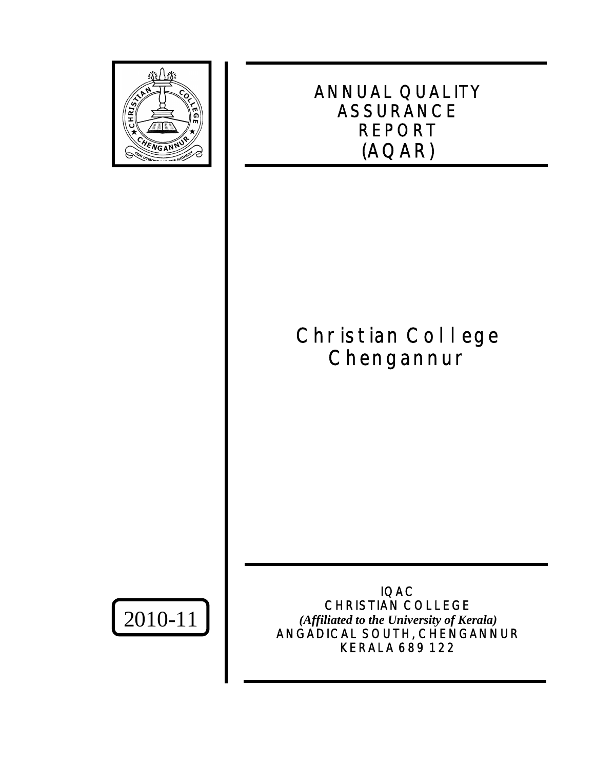

# ANNUAL QUALITY ASSURANCE REPORT (AQAR)

# Christian College **Chengannur**

2010-11

IQAC CHRISTIAN COLLEGE *(Affiliated to the University of Kerala)* ANGADICAL SOUTH, CHENGANNUR KERALA 689 122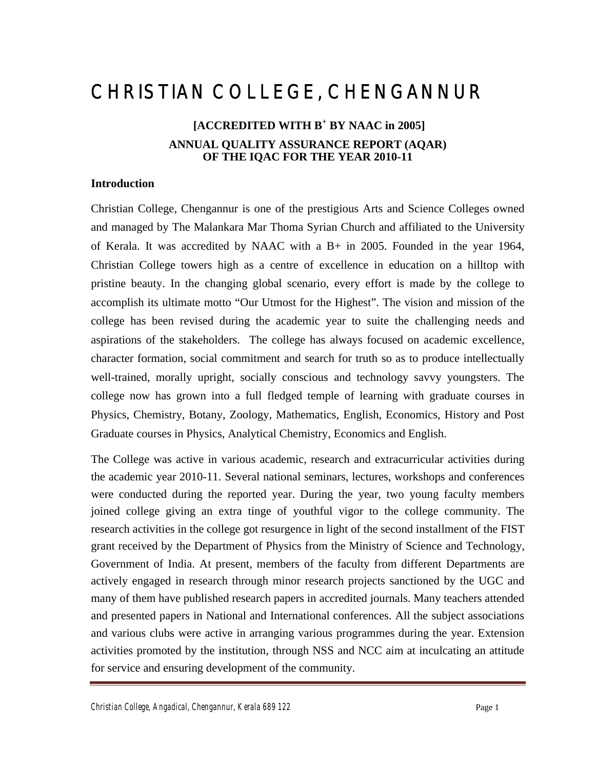# CHRISTIAN COLLEGE, CHENGANNUR

# **[ACCREDITED WITH B<sup>+</sup> BY NAAC in 2005] ANNUAL QUALITY ASSURANCE REPORT (AQAR) OF THE IQAC FOR THE YEAR 2010-11**

# **Introduction**

Christian College, Chengannur is one of the prestigious Arts and Science Colleges owned and managed by The Malankara Mar Thoma Syrian Church and affiliated to the University of Kerala. It was accredited by NAAC with a B+ in 2005. Founded in the year 1964, Christian College towers high as a centre of excellence in education on a hilltop with pristine beauty. In the changing global scenario, every effort is made by the college to accomplish its ultimate motto "Our Utmost for the Highest". The vision and mission of the college has been revised during the academic year to suite the challenging needs and aspirations of the stakeholders. The college has always focused on academic excellence, character formation, social commitment and search for truth so as to produce intellectually well-trained, morally upright, socially conscious and technology savvy youngsters. The college now has grown into a full fledged temple of learning with graduate courses in Physics, Chemistry, Botany, Zoology, Mathematics, English, Economics, History and Post Graduate courses in Physics, Analytical Chemistry, Economics and English.

The College was active in various academic, research and extracurricular activities during the academic year 2010-11. Several national seminars, lectures, workshops and conferences were conducted during the reported year. During the year, two young faculty members joined college giving an extra tinge of youthful vigor to the college community. The research activities in the college got resurgence in light of the second installment of the FIST grant received by the Department of Physics from the Ministry of Science and Technology, Government of India. At present, members of the faculty from different Departments are actively engaged in research through minor research projects sanctioned by the UGC and many of them have published research papers in accredited journals. Many teachers attended and presented papers in National and International conferences. All the subject associations and various clubs were active in arranging various programmes during the year. Extension activities promoted by the institution, through NSS and NCC aim at inculcating an attitude for service and ensuring development of the community.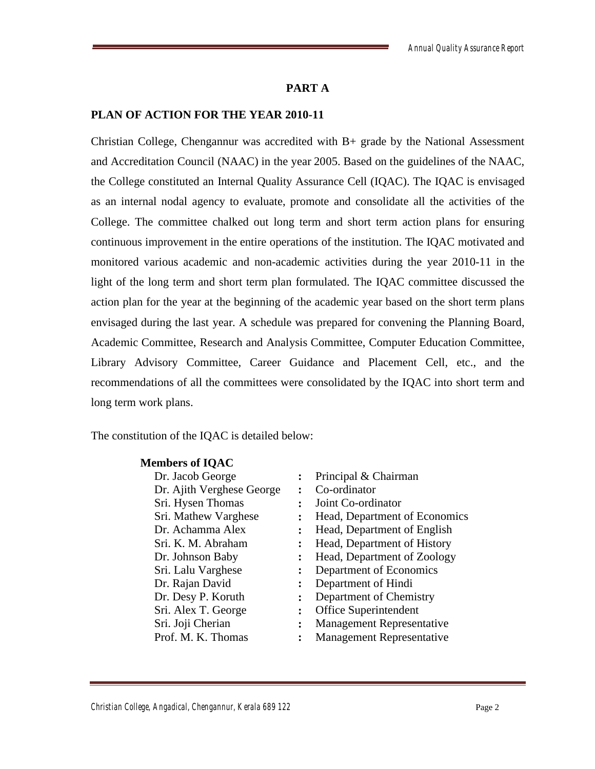# **PART A**

#### **PLAN OF ACTION FOR THE YEAR 2010-11**

Christian College, Chengannur was accredited with B+ grade by the National Assessment and Accreditation Council (NAAC) in the year 2005. Based on the guidelines of the NAAC, the College constituted an Internal Quality Assurance Cell (IQAC). The IQAC is envisaged as an internal nodal agency to evaluate, promote and consolidate all the activities of the College. The committee chalked out long term and short term action plans for ensuring continuous improvement in the entire operations of the institution. The IQAC motivated and monitored various academic and non-academic activities during the year 2010-11 in the light of the long term and short term plan formulated. The IQAC committee discussed the action plan for the year at the beginning of the academic year based on the short term plans envisaged during the last year. A schedule was prepared for convening the Planning Board, Academic Committee, Research and Analysis Committee, Computer Education Committee, Library Advisory Committee, Career Guidance and Placement Cell, etc., and the recommendations of all the committees were consolidated by the IQAC into short term and long term work plans.

The constitution of the IQAC is detailed below:

#### **Members of IQAC**

| Dr. Jacob George          |   | Principal & Chairman             |
|---------------------------|---|----------------------------------|
| Dr. Ajith Verghese George |   | Co-ordinator                     |
| Sri. Hysen Thomas         |   | Joint Co-ordinator               |
| Sri. Mathew Varghese      |   | Head, Department of Economics    |
| Dr. Achamma Alex          |   | Head, Department of English      |
| Sri. K. M. Abraham        |   | Head, Department of History      |
| Dr. Johnson Baby          |   | Head, Department of Zoology      |
| Sri. Lalu Varghese        |   | Department of Economics          |
| Dr. Rajan David           |   | Department of Hindi              |
| Dr. Desy P. Koruth        |   | Department of Chemistry          |
| Sri. Alex T. George       |   | Office Superintendent            |
| Sri. Joji Cherian         | ፡ | <b>Management Representative</b> |
| Prof. M. K. Thomas        | ∙ | <b>Management Representative</b> |
|                           |   |                                  |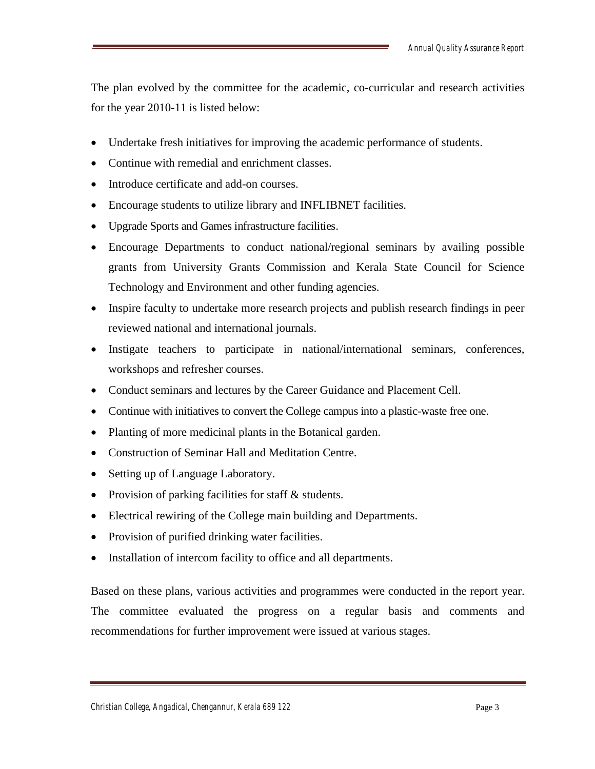The plan evolved by the committee for the academic, co-curricular and research activities for the year 2010-11 is listed below:

- Undertake fresh initiatives for improving the academic performance of students.
- Continue with remedial and enrichment classes.
- Introduce certificate and add-on courses.
- Encourage students to utilize library and INFLIBNET facilities.
- Upgrade Sports and Games infrastructure facilities.
- Encourage Departments to conduct national/regional seminars by availing possible grants from University Grants Commission and Kerala State Council for Science Technology and Environment and other funding agencies.
- Inspire faculty to undertake more research projects and publish research findings in peer reviewed national and international journals.
- Instigate teachers to participate in national/international seminars, conferences, workshops and refresher courses.
- Conduct seminars and lectures by the Career Guidance and Placement Cell.
- Continue with initiatives to convert the College campus into a plastic-waste free one.
- Planting of more medicinal plants in the Botanical garden.
- Construction of Seminar Hall and Meditation Centre.
- Setting up of Language Laboratory.
- Provision of parking facilities for staff & students.
- Electrical rewiring of the College main building and Departments.
- Provision of purified drinking water facilities.
- Installation of intercom facility to office and all departments.

Based on these plans, various activities and programmes were conducted in the report year. The committee evaluated the progress on a regular basis and comments and recommendations for further improvement were issued at various stages.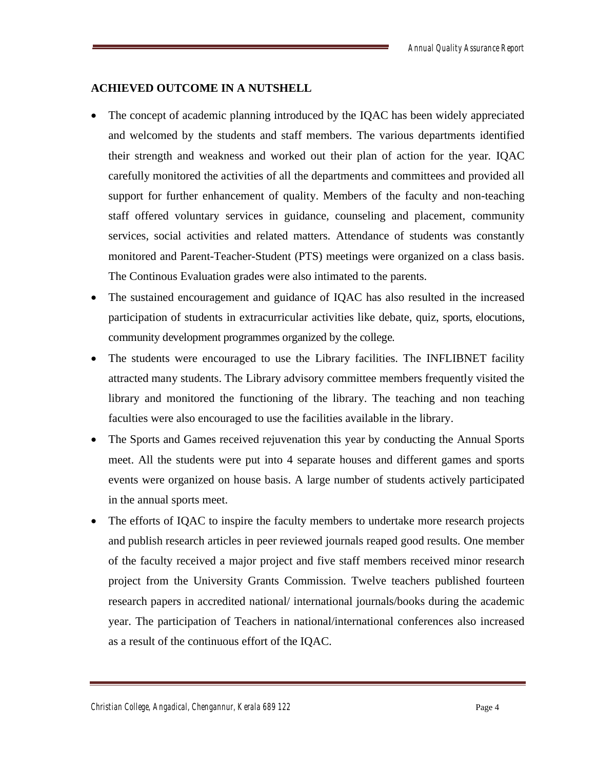#### **ACHIEVED OUTCOME IN A NUTSHELL**

- The concept of academic planning introduced by the IQAC has been widely appreciated and welcomed by the students and staff members. The various departments identified their strength and weakness and worked out their plan of action for the year. IQAC carefully monitored the activities of all the departments and committees and provided all support for further enhancement of quality. Members of the faculty and non-teaching staff offered voluntary services in guidance, counseling and placement, community services, social activities and related matters. Attendance of students was constantly monitored and Parent-Teacher-Student (PTS) meetings were organized on a class basis. The Continous Evaluation grades were also intimated to the parents.
- The sustained encouragement and guidance of IQAC has also resulted in the increased participation of students in extracurricular activities like debate, quiz, sports, elocutions, community development programmes organized by the college.
- The students were encouraged to use the Library facilities. The INFLIBNET facility attracted many students. The Library advisory committee members frequently visited the library and monitored the functioning of the library. The teaching and non teaching faculties were also encouraged to use the facilities available in the library.
- The Sports and Games received rejuvenation this year by conducting the Annual Sports meet. All the students were put into 4 separate houses and different games and sports events were organized on house basis. A large number of students actively participated in the annual sports meet.
- The efforts of IQAC to inspire the faculty members to undertake more research projects and publish research articles in peer reviewed journals reaped good results. One member of the faculty received a major project and five staff members received minor research project from the University Grants Commission. Twelve teachers published fourteen research papers in accredited national/ international journals/books during the academic year. The participation of Teachers in national/international conferences also increased as a result of the continuous effort of the IQAC.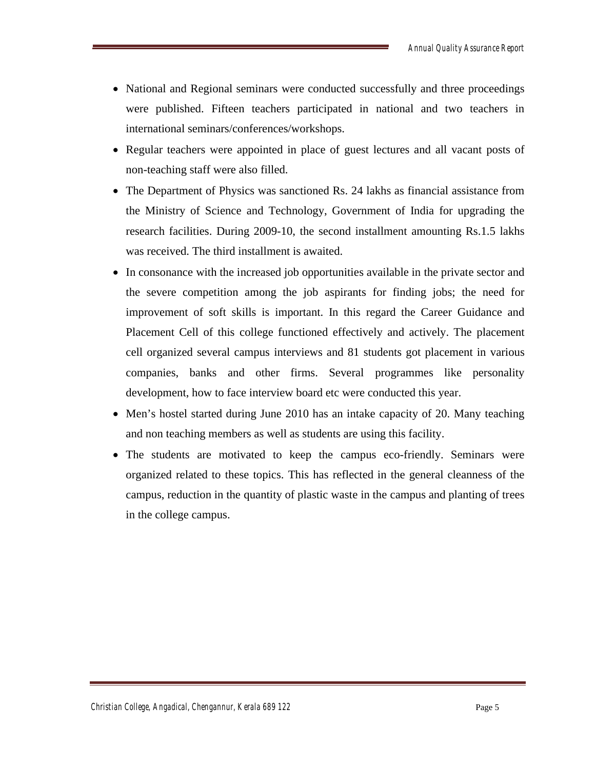- National and Regional seminars were conducted successfully and three proceedings were published. Fifteen teachers participated in national and two teachers in international seminars/conferences/workshops.
- Regular teachers were appointed in place of guest lectures and all vacant posts of non-teaching staff were also filled.
- The Department of Physics was sanctioned Rs. 24 lakhs as financial assistance from the Ministry of Science and Technology, Government of India for upgrading the research facilities. During 2009-10, the second installment amounting Rs.1.5 lakhs was received. The third installment is awaited.
- In consonance with the increased job opportunities available in the private sector and the severe competition among the job aspirants for finding jobs; the need for improvement of soft skills is important. In this regard the Career Guidance and Placement Cell of this college functioned effectively and actively. The placement cell organized several campus interviews and 81 students got placement in various companies, banks and other firms. Several programmes like personality development, how to face interview board etc were conducted this year.
- Men's hostel started during June 2010 has an intake capacity of 20. Many teaching and non teaching members as well as students are using this facility.
- The students are motivated to keep the campus eco-friendly. Seminars were organized related to these topics. This has reflected in the general cleanness of the campus, reduction in the quantity of plastic waste in the campus and planting of trees in the college campus.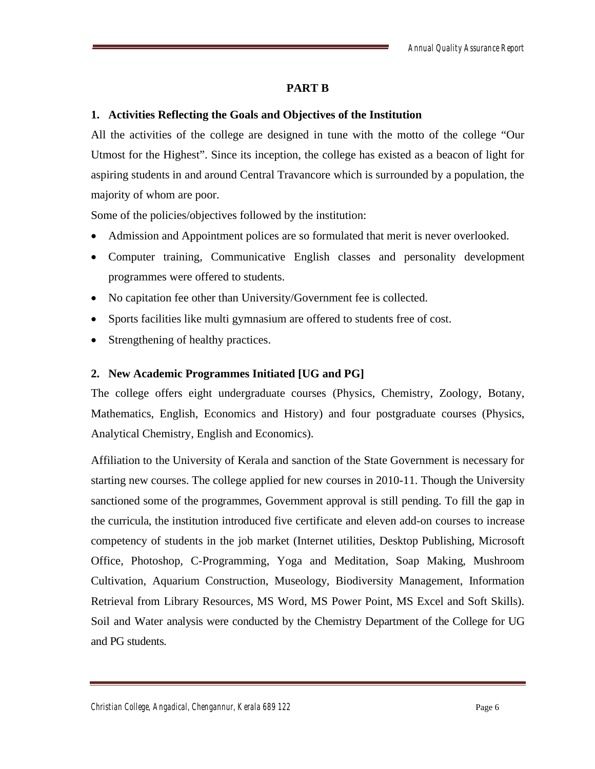#### **PART B**

#### **1. Activities Reflecting the Goals and Objectives of the Institution**

All the activities of the college are designed in tune with the motto of the college "Our Utmost for the Highest". Since its inception, the college has existed as a beacon of light for aspiring students in and around Central Travancore which is surrounded by a population, the majority of whom are poor.

Some of the policies/objectives followed by the institution:

- Admission and Appointment polices are so formulated that merit is never overlooked.
- Computer training, Communicative English classes and personality development programmes were offered to students.
- No capitation fee other than University/Government fee is collected.
- Sports facilities like multi gymnasium are offered to students free of cost.
- Strengthening of healthy practices.

# **2. New Academic Programmes Initiated [UG and PG]**

The college offers eight undergraduate courses (Physics, Chemistry, Zoology, Botany, Mathematics, English, Economics and History) and four postgraduate courses (Physics, Analytical Chemistry, English and Economics).

Affiliation to the University of Kerala and sanction of the State Government is necessary for starting new courses. The college applied for new courses in 2010-11. Though the University sanctioned some of the programmes, Government approval is still pending. To fill the gap in the curricula, the institution introduced five certificate and eleven add-on courses to increase competency of students in the job market (Internet utilities, Desktop Publishing, Microsoft Office, Photoshop, C-Programming, Yoga and Meditation, Soap Making, Mushroom Cultivation, Aquarium Construction, Museology, Biodiversity Management, Information Retrieval from Library Resources, MS Word, MS Power Point, MS Excel and Soft Skills). Soil and Water analysis were conducted by the Chemistry Department of the College for UG and PG students.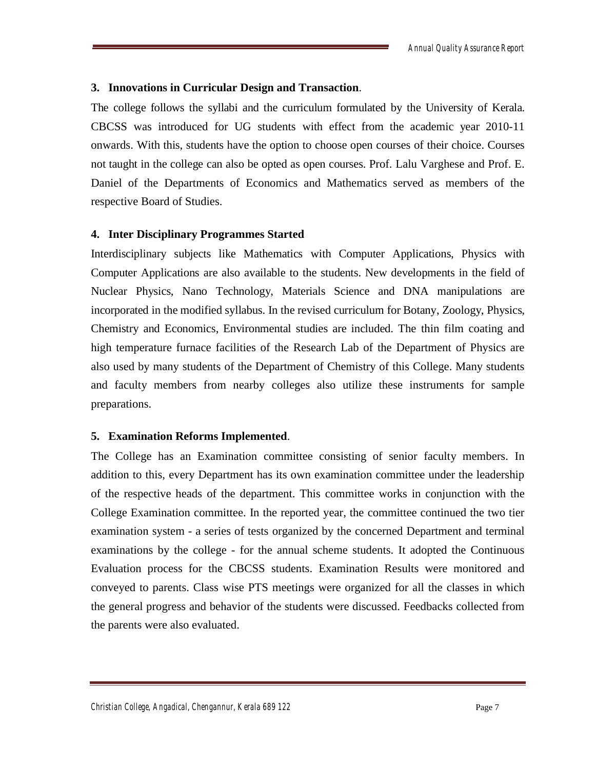#### **3. Innovations in Curricular Design and Transaction**.

The college follows the syllabi and the curriculum formulated by the University of Kerala. CBCSS was introduced for UG students with effect from the academic year 2010-11 onwards. With this, students have the option to choose open courses of their choice. Courses not taught in the college can also be opted as open courses. Prof. Lalu Varghese and Prof. E. Daniel of the Departments of Economics and Mathematics served as members of the respective Board of Studies.

#### **4. Inter Disciplinary Programmes Started**

Interdisciplinary subjects like Mathematics with Computer Applications, Physics with Computer Applications are also available to the students. New developments in the field of Nuclear Physics, Nano Technology, Materials Science and DNA manipulations are incorporated in the modified syllabus. In the revised curriculum for Botany, Zoology, Physics, Chemistry and Economics, Environmental studies are included. The thin film coating and high temperature furnace facilities of the Research Lab of the Department of Physics are also used by many students of the Department of Chemistry of this College. Many students and faculty members from nearby colleges also utilize these instruments for sample preparations.

#### **5. Examination Reforms Implemented**.

The College has an Examination committee consisting of senior faculty members. In addition to this, every Department has its own examination committee under the leadership of the respective heads of the department. This committee works in conjunction with the College Examination committee. In the reported year, the committee continued the two tier examination system - a series of tests organized by the concerned Department and terminal examinations by the college - for the annual scheme students. It adopted the Continuous Evaluation process for the CBCSS students. Examination Results were monitored and conveyed to parents. Class wise PTS meetings were organized for all the classes in which the general progress and behavior of the students were discussed. Feedbacks collected from the parents were also evaluated.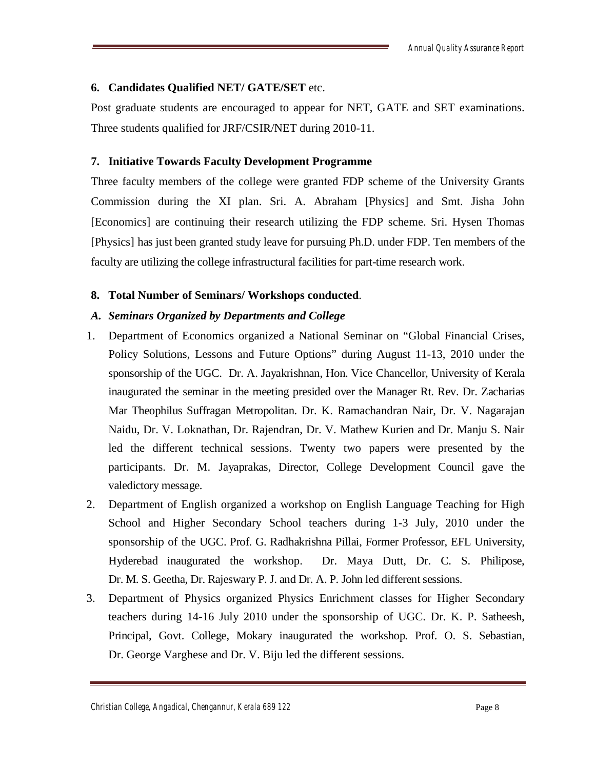# **6. Candidates Qualified NET/ GATE/SET** etc.

Post graduate students are encouraged to appear for NET, GATE and SET examinations. Three students qualified for JRF/CSIR/NET during 2010-11.

# **7. Initiative Towards Faculty Development Programme**

Three faculty members of the college were granted FDP scheme of the University Grants Commission during the XI plan. Sri. A. Abraham [Physics] and Smt. Jisha John [Economics] are continuing their research utilizing the FDP scheme. Sri. Hysen Thomas [Physics] has just been granted study leave for pursuing Ph.D. under FDP. Ten members of the faculty are utilizing the college infrastructural facilities for part-time research work.

# **8. Total Number of Seminars/ Workshops conducted**.

# *A. Seminars Organized by Departments and College*

- 1. Department of Economics organized a National Seminar on "Global Financial Crises, Policy Solutions, Lessons and Future Options" during August 11-13, 2010 under the sponsorship of the UGC. Dr. A. Jayakrishnan, Hon. Vice Chancellor, University of Kerala inaugurated the seminar in the meeting presided over the Manager Rt. Rev. Dr. Zacharias Mar Theophilus Suffragan Metropolitan. Dr. K. Ramachandran Nair, Dr. V. Nagarajan Naidu, Dr. V. Loknathan, Dr. Rajendran, Dr. V. Mathew Kurien and Dr. Manju S. Nair led the different technical sessions. Twenty two papers were presented by the participants. Dr. M. Jayaprakas, Director, College Development Council gave the valedictory message.
- 2. Department of English organized a workshop on English Language Teaching for High School and Higher Secondary School teachers during 1-3 July, 2010 under the sponsorship of the UGC. Prof. G. Radhakrishna Pillai, Former Professor, EFL University, Hyderebad inaugurated the workshop. Dr. Maya Dutt, Dr. C. S. Philipose, Dr. M. S. Geetha, Dr. Rajeswary P. J. and Dr. A. P. John led different sessions.
- 3. Department of Physics organized Physics Enrichment classes for Higher Secondary teachers during 14-16 July 2010 under the sponsorship of UGC. Dr. K. P. Satheesh, Principal, Govt. College, Mokary inaugurated the workshop. Prof. O. S. Sebastian, Dr. George Varghese and Dr. V. Biju led the different sessions.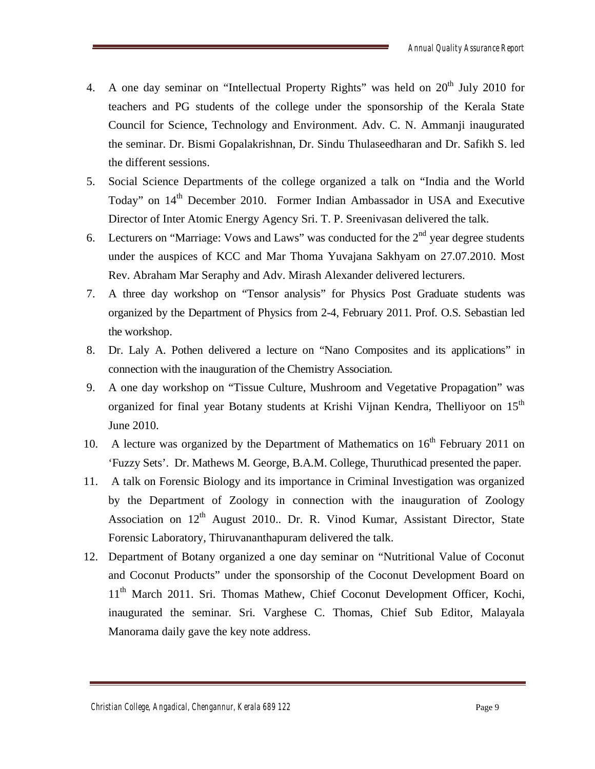- 4. A one day seminar on "Intellectual Property Rights" was held on  $20<sup>th</sup>$  July 2010 for teachers and PG students of the college under the sponsorship of the Kerala State Council for Science, Technology and Environment. Adv. C. N. Ammanji inaugurated the seminar. Dr. Bismi Gopalakrishnan, Dr. Sindu Thulaseedharan and Dr. Safikh S. led the different sessions.
- 5. Social Science Departments of the college organized a talk on "India and the World Today" on 14<sup>th</sup> December 2010. Former Indian Ambassador in USA and Executive Director of Inter Atomic Energy Agency Sri. T. P. Sreenivasan delivered the talk.
- 6. Lecturers on "Marriage: Vows and Laws" was conducted for the  $2<sup>nd</sup>$  year degree students under the auspices of KCC and Mar Thoma Yuvajana Sakhyam on 27.07.2010. Most Rev. Abraham Mar Seraphy and Adv. Mirash Alexander delivered lecturers.
- 7. A three day workshop on "Tensor analysis" for Physics Post Graduate students was organized by the Department of Physics from 2-4, February 2011. Prof. O.S. Sebastian led the workshop.
- 8. Dr. Laly A. Pothen delivered a lecture on "Nano Composites and its applications" in connection with the inauguration of the Chemistry Association.
- 9. A one day workshop on "Tissue Culture, Mushroom and Vegetative Propagation" was organized for final year Botany students at Krishi Vijnan Kendra, Thelliyoor on 15<sup>th</sup> June 2010.
- 10. A lecture was organized by the Department of Mathematics on  $16<sup>th</sup>$  February 2011 on 'Fuzzy Sets'. Dr. Mathews M. George, B.A.M. College, Thuruthicad presented the paper.
- 11. A talk on Forensic Biology and its importance in Criminal Investigation was organized by the Department of Zoology in connection with the inauguration of Zoology Association on  $12<sup>th</sup>$  August 2010.. Dr. R. Vinod Kumar, Assistant Director, State Forensic Laboratory, Thiruvananthapuram delivered the talk.
- 12. Department of Botany organized a one day seminar on "Nutritional Value of Coconut and Coconut Products" under the sponsorship of the Coconut Development Board on 11<sup>th</sup> March 2011. Sri. Thomas Mathew, Chief Coconut Development Officer, Kochi, inaugurated the seminar. Sri. Varghese C. Thomas, Chief Sub Editor, Malayala Manorama daily gave the key note address.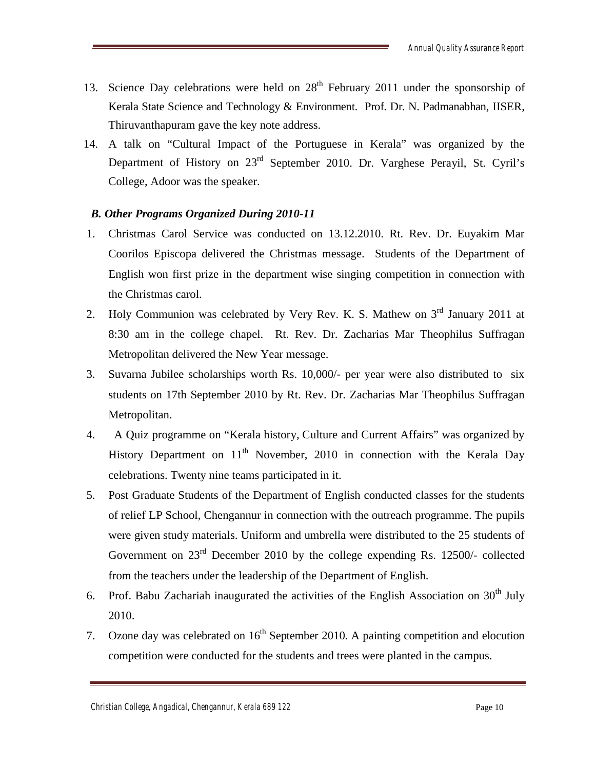- 13. Science Day celebrations were held on  $28<sup>th</sup>$  February 2011 under the sponsorship of Kerala State Science and Technology & Environment. Prof. Dr. N. Padmanabhan, IISER, Thiruvanthapuram gave the key note address.
- 14. A talk on "Cultural Impact of the Portuguese in Kerala" was organized by the Department of History on 23rd September 2010. Dr. Varghese Perayil, St. Cyril's College, Adoor was the speaker.

# *B. Other Programs Organized During 2010-11*

- 1. Christmas Carol Service was conducted on 13.12.2010. Rt. Rev. Dr. Euyakim Mar Coorilos Episcopa delivered the Christmas message. Students of the Department of English won first prize in the department wise singing competition in connection with the Christmas carol.
- 2. Holy Communion was celebrated by Very Rev. K. S. Mathew on  $3<sup>rd</sup>$  January 2011 at 8:30 am in the college chapel. Rt. Rev. Dr. Zacharias Mar Theophilus Suffragan Metropolitan delivered the New Year message.
- 3. Suvarna Jubilee scholarships worth Rs. 10,000/- per year were also distributed to six students on 17th September 2010 by Rt. Rev. Dr. Zacharias Mar Theophilus Suffragan Metropolitan.
- 4. A Quiz programme on "Kerala history, Culture and Current Affairs" was organized by History Department on  $11<sup>th</sup>$  November, 2010 in connection with the Kerala Day celebrations. Twenty nine teams participated in it.
- 5. Post Graduate Students of the Department of English conducted classes for the students of relief LP School, Chengannur in connection with the outreach programme. The pupils were given study materials. Uniform and umbrella were distributed to the 25 students of Government on 23rd December 2010 by the college expending Rs. 12500/- collected from the teachers under the leadership of the Department of English.
- 6. Prof. Babu Zachariah inaugurated the activities of the English Association on  $30<sup>th</sup>$  July 2010.
- 7. Ozone day was celebrated on  $16<sup>th</sup>$  September 2010. A painting competition and elocution competition were conducted for the students and trees were planted in the campus.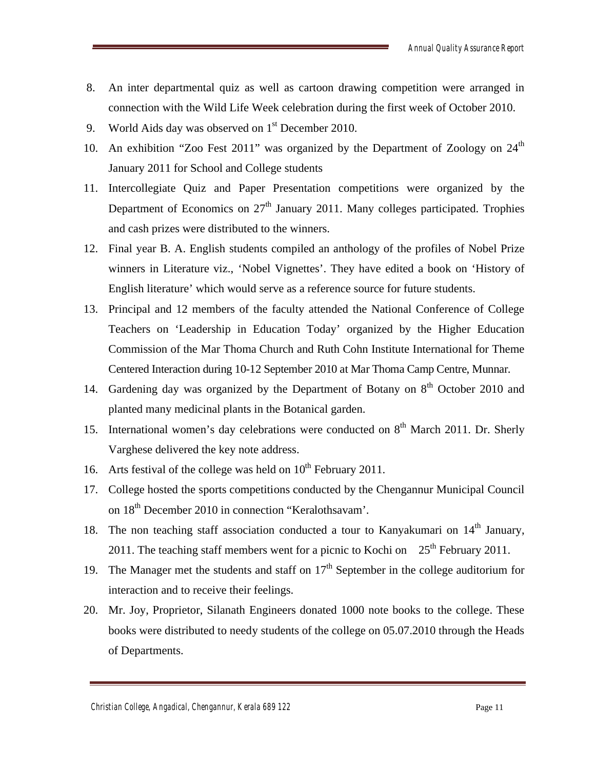- 8. An inter departmental quiz as well as cartoon drawing competition were arranged in connection with the Wild Life Week celebration during the first week of October 2010.
- 9. World Aids day was observed on  $1<sup>st</sup>$  December 2010.
- 10. An exhibition "Zoo Fest 2011" was organized by the Department of Zoology on  $24<sup>th</sup>$ January 2011 for School and College students
- 11. Intercollegiate Quiz and Paper Presentation competitions were organized by the Department of Economics on  $27<sup>th</sup>$  January 2011. Many colleges participated. Trophies and cash prizes were distributed to the winners.
- 12. Final year B. A. English students compiled an anthology of the profiles of Nobel Prize winners in Literature viz., 'Nobel Vignettes'. They have edited a book on 'History of English literature' which would serve as a reference source for future students.
- 13. Principal and 12 members of the faculty attended the National Conference of College Teachers on 'Leadership in Education Today' organized by the Higher Education Commission of the Mar Thoma Church and Ruth Cohn Institute International for Theme Centered Interaction during 10-12 September 2010 at Mar Thoma Camp Centre, Munnar.
- 14. Gardening day was organized by the Department of Botany on  $8<sup>th</sup>$  October 2010 and planted many medicinal plants in the Botanical garden.
- 15. International women's day celebrations were conducted on  $8<sup>th</sup>$  March 2011. Dr. Sherly Varghese delivered the key note address.
- 16. Arts festival of the college was held on  $10^{th}$  February 2011.
- 17. College hosted the sports competitions conducted by the Chengannur Municipal Council on  $18<sup>th</sup>$  December 2010 in connection "Keralothsavam'.
- 18. The non teaching staff association conducted a tour to Kanyakumari on  $14<sup>th</sup>$  January, 2011. The teaching staff members went for a picnic to Kochi on  $25<sup>th</sup>$  February 2011.
- 19. The Manager met the students and staff on  $17<sup>th</sup>$  September in the college auditorium for interaction and to receive their feelings.
- 20. Mr. Joy, Proprietor, Silanath Engineers donated 1000 note books to the college. These books were distributed to needy students of the college on 05.07.2010 through the Heads of Departments.

*Christian College, Angadical, Chengannur, Kerala 689 122* Page 11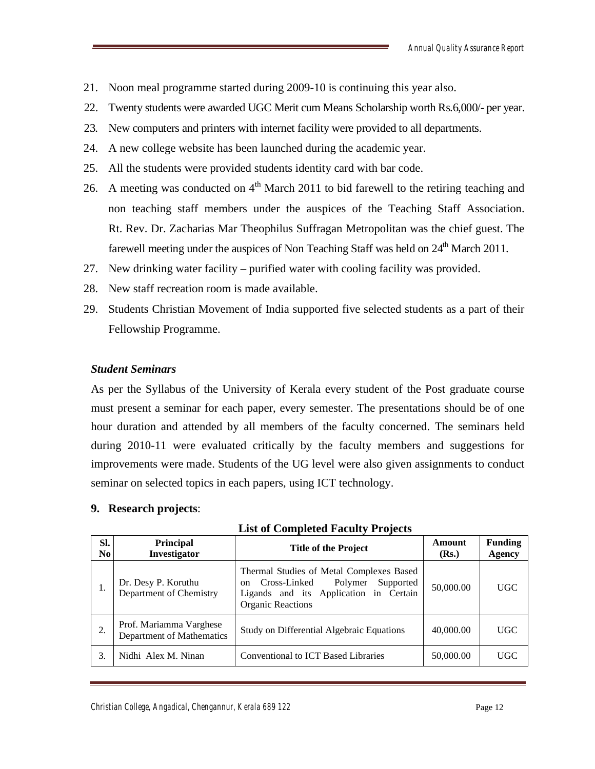- 21. Noon meal programme started during 2009-10 is continuing this year also.
- 22. Twenty students were awarded UGC Merit cum Means Scholarship worth Rs.6,000/- per year.
- 23. New computers and printers with internet facility were provided to all departments.
- 24. A new college website has been launched during the academic year.
- 25. All the students were provided students identity card with bar code.
- 26. A meeting was conducted on  $4<sup>th</sup>$  March 2011 to bid farewell to the retiring teaching and non teaching staff members under the auspices of the Teaching Staff Association. Rt. Rev. Dr. Zacharias Mar Theophilus Suffragan Metropolitan was the chief guest. The farewell meeting under the auspices of Non Teaching Staff was held on  $24<sup>th</sup>$  March 2011.
- 27. New drinking water facility purified water with cooling facility was provided.
- 28. New staff recreation room is made available.
- 29. Students Christian Movement of India supported five selected students as a part of their Fellowship Programme.

#### *Student Seminars*

As per the Syllabus of the University of Kerala every student of the Post graduate course must present a seminar for each paper, every semester. The presentations should be of one hour duration and attended by all members of the faculty concerned. The seminars held during 2010-11 were evaluated critically by the faculty members and suggestions for improvements were made. Students of the UG level were also given assignments to conduct seminar on selected topics in each papers, using ICT technology.

#### **9. Research projects**:

| SI.<br>N <sub>0</sub> | Principal<br>Investigator                            | <b>Title of the Project</b>                                                                                                                                   | Amount<br>(Rs.) | <b>Funding</b><br><b>Agency</b> |
|-----------------------|------------------------------------------------------|---------------------------------------------------------------------------------------------------------------------------------------------------------------|-----------------|---------------------------------|
|                       | Dr. Desy P. Koruthu<br>Department of Chemistry       | Thermal Studies of Metal Complexes Based<br>Cross-Linked<br>Polymer<br>Supported<br>on.<br>Ligands and its Application in Certain<br><b>Organic Reactions</b> | 50,000.00       | <b>UGC</b>                      |
| 2.                    | Prof. Mariamma Varghese<br>Department of Mathematics | Study on Differential Algebraic Equations                                                                                                                     | 40,000.00       | <b>UGC</b>                      |
| 3.                    | Nidhi Alex M. Ninan                                  | Conventional to ICT Based Libraries                                                                                                                           | 50,000.00       | <b>UGC</b>                      |

#### **List of Completed Faculty Projects**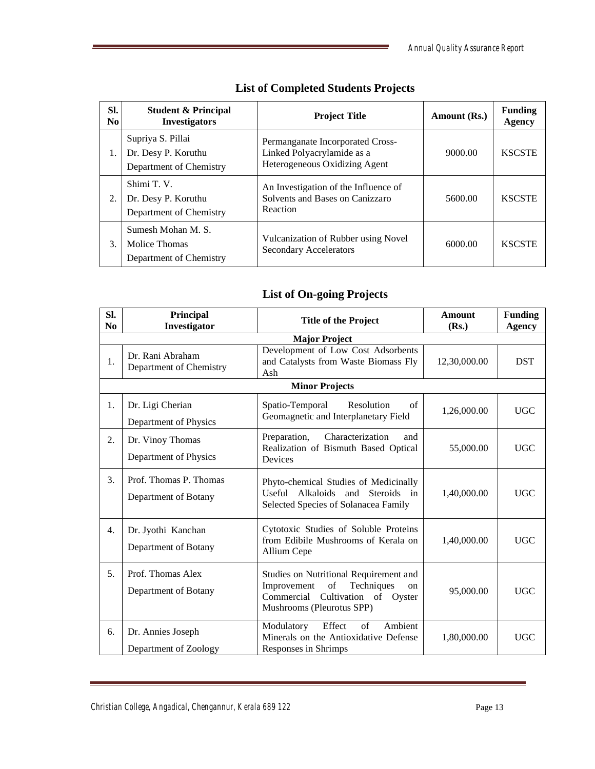| SI.<br>No. | <b>Student &amp; Principal</b><br><b>Investigators</b>              | <b>Project Title</b>                                                                            | Amount (Rs.) | <b>Funding</b><br><b>Agency</b> |
|------------|---------------------------------------------------------------------|-------------------------------------------------------------------------------------------------|--------------|---------------------------------|
| 1.         | Supriya S. Pillai<br>Dr. Desy P. Koruthu<br>Department of Chemistry | Permanganate Incorporated Cross-<br>Linked Polyacrylamide as a<br>Heterogeneous Oxidizing Agent | 9000.00      | <b>KSCSTE</b>                   |
| 2.         | Shimi T.V.<br>Dr. Desy P. Koruthu<br>Department of Chemistry        | An Investigation of the Influence of<br>Solvents and Bases on Canizzaro<br>Reaction             | 5600.00      | <b>KSCSTE</b>                   |
| 3.         | Sumesh Mohan M. S.<br>Molice Thomas<br>Department of Chemistry      | Vulcanization of Rubber using Novel<br><b>Secondary Accelerators</b>                            | 6000.00      | <b>KSCSTE</b>                   |

# **List of Completed Students Projects**

# **List of On-going Projects**

| SI.<br>N <sub>0</sub> | Principal<br>Investigator                      | <b>Title of the Project</b>                                                                                                                         | <b>Amount</b><br>(Rs.) | <b>Funding</b><br><b>Agency</b> |
|-----------------------|------------------------------------------------|-----------------------------------------------------------------------------------------------------------------------------------------------------|------------------------|---------------------------------|
|                       |                                                | <b>Major Project</b>                                                                                                                                |                        |                                 |
| 1.                    | Dr. Rani Abraham<br>Department of Chemistry    | Development of Low Cost Adsorbents<br>and Catalysts from Waste Biomass Fly<br>Ash                                                                   | 12,30,000.00           | <b>DST</b>                      |
|                       |                                                | <b>Minor Projects</b>                                                                                                                               |                        |                                 |
| 1.                    | Dr. Ligi Cherian<br>Department of Physics      | Spatio-Temporal<br>Resolution<br>of<br>Geomagnetic and Interplanetary Field                                                                         | 1,26,000.00            | <b>UGC</b>                      |
| 2.                    | Dr. Vinoy Thomas<br>Department of Physics      | Preparation,<br>Characterization<br>and<br>Realization of Bismuth Based Optical<br><b>Devices</b>                                                   | 55,000.00              | <b>UGC</b>                      |
| 3.                    | Prof. Thomas P. Thomas<br>Department of Botany | Phyto-chemical Studies of Medicinally<br>Useful Alkaloids and Steroids in<br>Selected Species of Solanacea Family                                   | 1,40,000.00            | <b>UGC</b>                      |
| 4.                    | Dr. Jyothi Kanchan<br>Department of Botany     | Cytotoxic Studies of Soluble Proteins<br>from Edibile Mushrooms of Kerala on<br>Allium Cepe                                                         | 1,40,000.00            | <b>UGC</b>                      |
| 5.                    | Prof. Thomas Alex<br>Department of Botany      | Studies on Nutritional Requirement and<br>of<br>Techniques<br>Improvement<br>on<br>Cultivation of Oyster<br>Commercial<br>Mushrooms (Pleurotus SPP) | 95,000.00              | <b>UGC</b>                      |
| 6.                    | Dr. Annies Joseph<br>Department of Zoology     | Ambient<br>of<br>Modulatory<br>Effect<br>Minerals on the Antioxidative Defense<br>Responses in Shrimps                                              | 1,80,000.00            | <b>UGC</b>                      |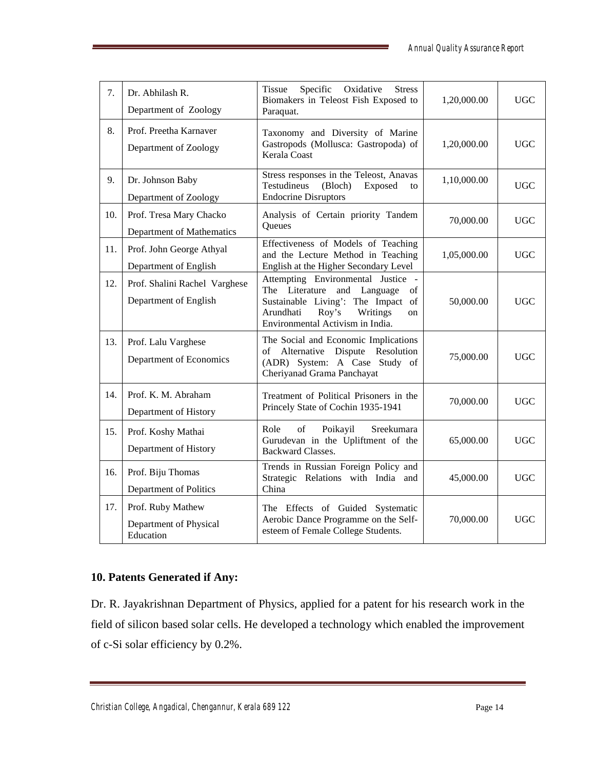| 7.  | Dr. Abhilash R.<br>Department of Zoology                 | <b>Tissue</b><br>Specific<br>Oxidative<br><b>Stress</b><br>Biomakers in Teleost Fish Exposed to<br>Paraquat.                                                                                 | 1,20,000.00 | <b>UGC</b> |
|-----|----------------------------------------------------------|----------------------------------------------------------------------------------------------------------------------------------------------------------------------------------------------|-------------|------------|
| 8.  | Prof. Preetha Karnaver<br>Department of Zoology          | Taxonomy and Diversity of Marine<br>Gastropods (Mollusca: Gastropoda) of<br><b>Kerala Coast</b>                                                                                              | 1,20,000.00 | <b>UGC</b> |
| 9.  | Dr. Johnson Baby<br>Department of Zoology                | Stress responses in the Teleost, Anavas<br>Testudineus<br>(Bloch)<br>Exposed<br>to<br><b>Endocrine Disruptors</b>                                                                            | 1,10,000.00 | <b>UGC</b> |
| 10. | Prof. Tresa Mary Chacko<br>Department of Mathematics     | Analysis of Certain priority Tandem<br>Queues                                                                                                                                                | 70,000.00   | <b>UGC</b> |
| 11. | Prof. John George Athyal<br>Department of English        | Effectiveness of Models of Teaching<br>and the Lecture Method in Teaching<br>English at the Higher Secondary Level                                                                           | 1,05,000.00 | <b>UGC</b> |
| 12. | Prof. Shalini Rachel Varghese<br>Department of English   | Attempting Environmental Justice -<br>The Literature<br>and Language<br>of<br>Sustainable Living': The Impact of<br>Writings<br>Arundhati<br>Roy's<br>on<br>Environmental Activism in India. | 50,000.00   | <b>UGC</b> |
| 13. | Prof. Lalu Varghese<br>Department of Economics           | The Social and Economic Implications<br>of Alternative Dispute Resolution<br>(ADR) System: A Case Study of<br>Cheriyanad Grama Panchayat                                                     | 75,000.00   | <b>UGC</b> |
| 14. | Prof. K. M. Abraham<br>Department of History             | Treatment of Political Prisoners in the<br>Princely State of Cochin 1935-1941                                                                                                                | 70,000.00   | <b>UGC</b> |
| 15. | Prof. Koshy Mathai<br>Department of History              | of<br>Poikayil<br>Sreekumara<br>Role<br>Gurudevan in the Upliftment of the<br><b>Backward Classes.</b>                                                                                       | 65,000.00   | <b>UGC</b> |
| 16. | Prof. Biju Thomas<br>Department of Politics              | Trends in Russian Foreign Policy and<br>Strategic Relations with India and<br>China                                                                                                          | 45,000.00   | <b>UGC</b> |
| 17. | Prof. Ruby Mathew<br>Department of Physical<br>Education | The Effects of Guided Systematic<br>Aerobic Dance Programme on the Self-<br>esteem of Female College Students.                                                                               | 70,000.00   | <b>UGC</b> |

# **10. Patents Generated if Any:**

Dr. R. Jayakrishnan Department of Physics, applied for a patent for his research work in the field of silicon based solar cells. He developed a technology which enabled the improvement of c-Si solar efficiency by 0.2%.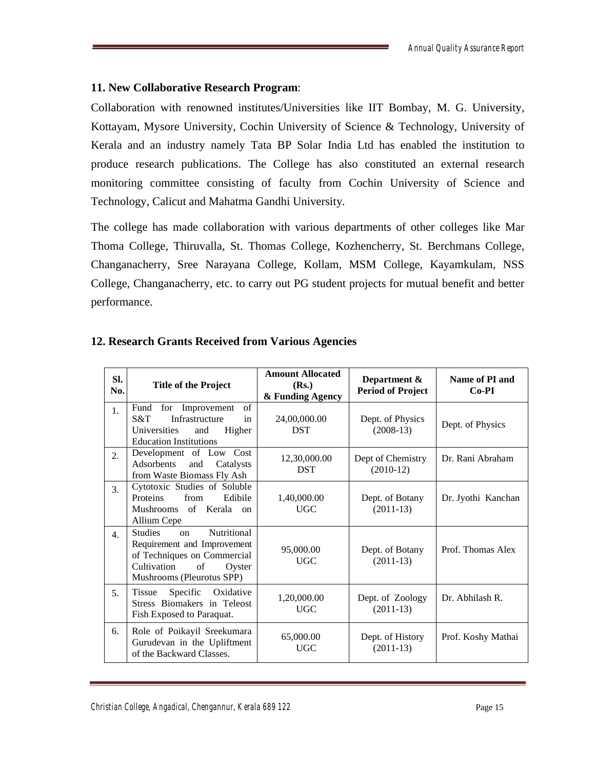# **11. New Collaborative Research Program**:

Collaboration with renowned institutes/Universities like IIT Bombay, M. G. University, Kottayam, Mysore University, Cochin University of Science & Technology, University of Kerala and an industry namely Tata BP Solar India Ltd has enabled the institution to produce research publications. The College has also constituted an external research monitoring committee consisting of faculty from Cochin University of Science and Technology, Calicut and Mahatma Gandhi University.

The college has made collaboration with various departments of other colleges like Mar Thoma College, Thiruvalla, St. Thomas College, Kozhencherry, St. Berchmans College, Changanacherry, Sree Narayana College, Kollam, MSM College, Kayamkulam, NSS College, Changanacherry, etc. to carry out PG student projects for mutual benefit and better performance.

| Sl.<br>No.       | <b>Title of the Project</b>                                                                                                                                          | <b>Amount Allocated</b><br>(Rs.)<br>& Funding Agency | Department &<br><b>Period of Project</b> | Name of PI and<br>$Co-PI$ |
|------------------|----------------------------------------------------------------------------------------------------------------------------------------------------------------------|------------------------------------------------------|------------------------------------------|---------------------------|
| 1.               | for Improvement<br>of<br>Fund<br>Infrastructure<br>S&T<br>in<br>Universities<br>Higher<br>and<br><b>Education Institutions</b>                                       | 24,00,000.00<br><b>DST</b>                           | Dept. of Physics<br>$(2008-13)$          | Dept. of Physics          |
| 2.               | Development of Low Cost<br>Adsorbents<br>and<br>Catalysts<br>from Waste Biomass Fly Ash                                                                              | 12,30,000.00<br><b>DST</b>                           | Dept of Chemistry<br>$(2010-12)$         | Dr. Rani Abraham          |
| 3.               | Cytotoxic Studies of Soluble<br>from<br>Proteins<br>Edibile<br>Mushrooms of Kerala on<br>Allium Cepe                                                                 | 1,40,000.00<br><b>UGC</b>                            | Dept. of Botany<br>$(2011-13)$           | Dr. Jyothi Kanchan        |
| $\overline{4}$ . | <b>Nutritional</b><br><b>Studies</b><br>on<br>Requirement and Improvement<br>of Techniques on Commercial<br>Cultivation<br>of<br>Oyster<br>Mushrooms (Pleurotus SPP) | 95,000.00<br><b>UGC</b>                              | Dept. of Botany<br>$(2011-13)$           | Prof. Thomas Alex         |
| 5.               | Specific Oxidative<br>Tissue<br>Stress Biomakers in Teleost<br>Fish Exposed to Paraquat.                                                                             | 1,20,000.00<br><b>UGC</b>                            | Dept. of Zoology<br>$(2011-13)$          | Dr. Abhilash R.           |
| 6.               | Role of Poikayil Sreekumara<br>Gurudevan in the Upliftment<br>of the Backward Classes.                                                                               | 65,000.00<br><b>UGC</b>                              | Dept. of History<br>$(2011-13)$          | Prof. Koshy Mathai        |

# **12. Research Grants Received from Various Agencies**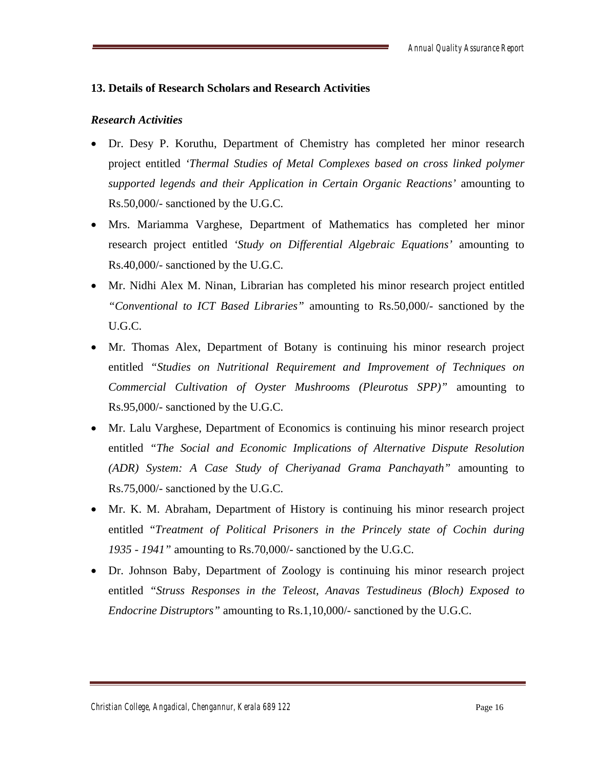# **13. Details of Research Scholars and Research Activities**

# *Research Activities*

- Dr. Desy P. Koruthu, Department of Chemistry has completed her minor research project entitled *'Thermal Studies of Metal Complexes based on cross linked polymer supported legends and their Application in Certain Organic Reactions'* amounting to Rs.50,000/- sanctioned by the U.G.C.
- Mrs. Mariamma Varghese, Department of Mathematics has completed her minor research project entitled *'Study on Differential Algebraic Equations'* amounting to Rs.40,000/- sanctioned by the U.G.C.
- Mr. Nidhi Alex M. Ninan, Librarian has completed his minor research project entitled *"Conventional to ICT Based Libraries"* amounting to Rs.50,000/- sanctioned by the U.G.C.
- Mr. Thomas Alex, Department of Botany is continuing his minor research project entitled *"Studies on Nutritional Requirement and Improvement of Techniques on Commercial Cultivation of Oyster Mushrooms (Pleurotus SPP)"* amounting to Rs.95,000/- sanctioned by the U.G.C.
- Mr. Lalu Varghese, Department of Economics is continuing his minor research project entitled *"The Social and Economic Implications of Alternative Dispute Resolution (ADR) System: A Case Study of Cheriyanad Grama Panchayath"* amounting to Rs.75,000/- sanctioned by the U.G.C.
- Mr. K. M. Abraham, Department of History is continuing his minor research project entitled "*Treatment of Political Prisoners in the Princely state of Cochin during 1935 - 1941"* amounting to Rs.70,000/- sanctioned by the U.G.C.
- Dr. Johnson Baby, Department of Zoology is continuing his minor research project entitled *"Struss Responses in the Teleost, Anavas Testudineus (Bloch) Exposed to Endocrine Distruptors"* amounting to Rs.1,10,000/- sanctioned by the U.G.C.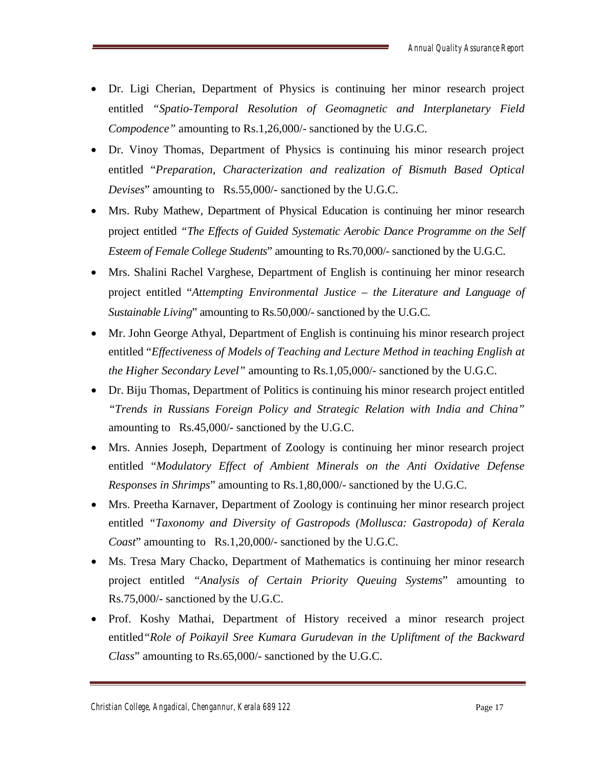- Dr. Ligi Cherian, Department of Physics is continuing her minor research project entitled *"Spatio-Temporal Resolution of Geomagnetic and Interplanetary Field Compodence"* amounting to Rs.1,26,000/- sanctioned by the U.G.C.
- Dr. Vinoy Thomas, Department of Physics is continuing his minor research project entitled "*Preparation, Characterization and realization of Bismuth Based Optical Devises*" amounting to Rs.55,000/- sanctioned by the U.G.C.
- Mrs. Ruby Mathew, Department of Physical Education is continuing her minor research project entitled *"The Effects of Guided Systematic Aerobic Dance Programme on the Self Esteem of Female College Students*" amounting to Rs.70,000/- sanctioned by the U.G.C.
- Mrs. Shalini Rachel Varghese, Department of English is continuing her minor research project entitled "*Attempting Environmental Justice – the Literature and Language of Sustainable Living*" amounting to Rs.50,000/- sanctioned by the U.G.C.
- Mr. John George Athyal, Department of English is continuing his minor research project entitled "*Effectiveness of Models of Teaching and Lecture Method in teaching English at the Higher Secondary Level"* amounting to Rs.1,05,000/- sanctioned by the U.G.C.
- Dr. Biju Thomas, Department of Politics is continuing his minor research project entitled *"Trends in Russians Foreign Policy and Strategic Relation with India and China"* amounting to Rs.45,000/- sanctioned by the U.G.C.
- Mrs. Annies Joseph, Department of Zoology is continuing her minor research project entitled "*Modulatory Effect of Ambient Minerals on the Anti Oxidative Defense Responses in Shrimps*" amounting to Rs.1,80,000/- sanctioned by the U.G.C.
- Mrs. Preetha Karnaver, Department of Zoology is continuing her minor research project entitled *"Taxonomy and Diversity of Gastropods (Mollusca: Gastropoda) of Kerala Coast*" amounting to Rs.1,20,000/- sanctioned by the U.G.C.
- Ms. Tresa Mary Chacko, Department of Mathematics is continuing her minor research project entitled *"Analysis of Certain Priority Queuing Systems*" amounting to Rs.75,000/- sanctioned by the U.G.C.
- Prof. Koshy Mathai, Department of History received a minor research project entitled*"Role of Poikayil Sree Kumara Gurudevan in the Upliftment of the Backward Class*" amounting to Rs.65,000/- sanctioned by the U.G.C.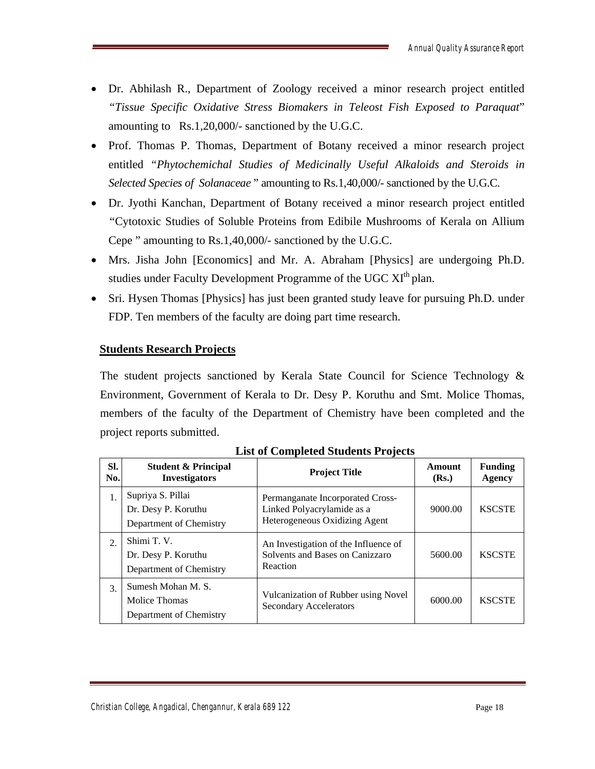- Dr. Abhilash R., Department of Zoology received a minor research project entitled *"Tissue Specific Oxidative Stress Biomakers in Teleost Fish Exposed to Paraquat*" amounting to Rs.1,20,000/- sanctioned by the U.G.C.
- Prof. Thomas P. Thomas, Department of Botany received a minor research project entitled *"Phytochemichal Studies of Medicinally Useful Alkaloids and Steroids in Selected Species of Solanaceae* " amounting to Rs.1,40,000/- sanctioned by the U.G.C.
- Dr. Jyothi Kanchan, Department of Botany received a minor research project entitled *"*Cytotoxic Studies of Soluble Proteins from Edibile Mushrooms of Kerala on Allium Cepe " amounting to Rs.1,40,000/- sanctioned by the U.G.C.
- Mrs. Jisha John [Economics] and Mr. A. Abraham [Physics] are undergoing Ph.D. studies under Faculty Development Programme of the UGC XI<sup>th</sup> plan.
- Sri. Hysen Thomas [Physics] has just been granted study leave for pursuing Ph.D. under FDP. Ten members of the faculty are doing part time research.

# **Students Research Projects**

The student projects sanctioned by Kerala State Council for Science Technology & Environment, Government of Kerala to Dr. Desy P. Koruthu and Smt. Molice Thomas, members of the faculty of the Department of Chemistry have been completed and the project reports submitted.

| SI.<br>No. | <b>Student &amp; Principal</b><br><b>Investigators</b>              | <b>Project Title</b>                                                                            | Amount<br>(Rs.) | <b>Funding</b><br>Agency |
|------------|---------------------------------------------------------------------|-------------------------------------------------------------------------------------------------|-----------------|--------------------------|
| 1.         | Supriya S. Pillai<br>Dr. Desy P. Koruthu<br>Department of Chemistry | Permanganate Incorporated Cross-<br>Linked Polyacrylamide as a<br>Heterogeneous Oxidizing Agent | 9000.00         | <b>KSCSTE</b>            |
| 2.         | Shimi T.V.<br>Dr. Desy P. Koruthu<br>Department of Chemistry        | An Investigation of the Influence of<br>Solvents and Bases on Canizzaro<br>Reaction             | 5600.00         | <b>KSCSTE</b>            |
| 3.         | Sumesh Mohan M.S.<br>Molice Thomas<br>Department of Chemistry       | Vulcanization of Rubber using Novel<br><b>Secondary Accelerators</b>                            | 6000.00         | <b>KSCSTE</b>            |

**List of Completed Students Projects**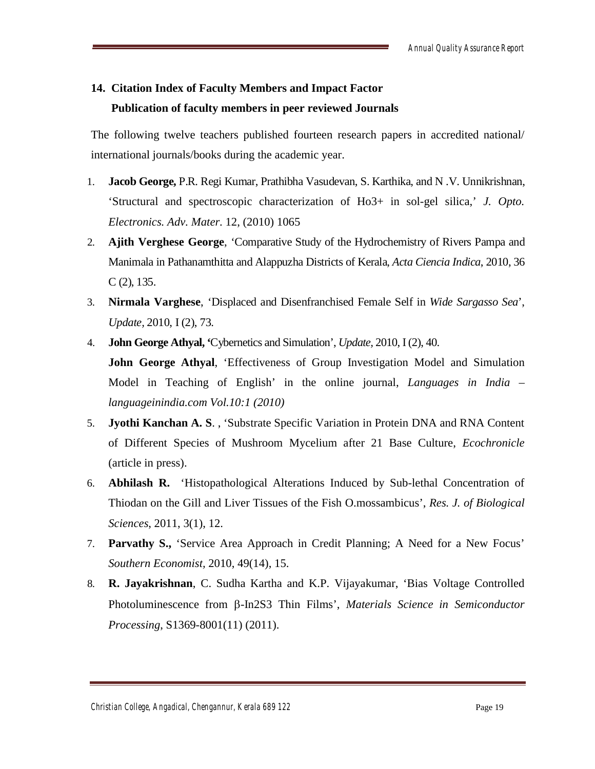# **14. Citation Index of Faculty Members and Impact Factor Publication of faculty members in peer reviewed Journals**

The following twelve teachers published fourteen research papers in accredited national/ international journals/books during the academic year.

- 1. **Jacob George,** P.R. Regi Kumar, Prathibha Vasudevan, S. Karthika, and N .V. Unnikrishnan, 'Structural and spectroscopic characterization of Ho3+ in sol-gel silica,' *J. Opto. Electronics. Adv. Mater*. 12, (2010) 1065
- 2. **Ajith Verghese George**, 'Comparative Study of the Hydrochemistry of Rivers Pampa and Manimala in Pathanamthitta and Alappuzha Districts of Kerala, *Acta Ciencia Indica*, 2010, 36  $C(2)$ , 135.
- 3. **Nirmala Varghese**, 'Displaced and Disenfranchised Female Self in *Wide Sargasso Sea*', *Update,* 2010, I (2), 73.
- 4. **John George Athyal, '**Cybernetics and Simulation', *Update,* 2010, I (2), 40. **John George Athyal**, 'Effectiveness of Group Investigation Model and Simulation Model in Teaching of English' in the online journal, *Languages in India – languageinindia.com Vol.10:1 (2010)*
- 5. **Jyothi Kanchan A. S**. , 'Substrate Specific Variation in Protein DNA and RNA Content of Different Species of Mushroom Mycelium after 21 Base Culture, *Ecochronicle* (article in press).
- 6. **Abhilash R.** 'Histopathological Alterations Induced by Sub-lethal Concentration of Thiodan on the Gill and Liver Tissues of the Fish O.mossambicus', *Res. J. of Biological Sciences*, 2011, 3(1), 12.
- 7. **Parvathy S.,** 'Service Area Approach in Credit Planning; A Need for a New Focus' *Southern Economist,* 2010, 49(14), 15.
- 8. **R. Jayakrishnan**, C. Sudha Kartha and K.P. Vijayakumar, 'Bias Voltage Controlled Photoluminescence from  $\beta$ -In2S3 Thin Films', *Materials Science in Semiconductor Processing*, S1369-8001(11) (2011).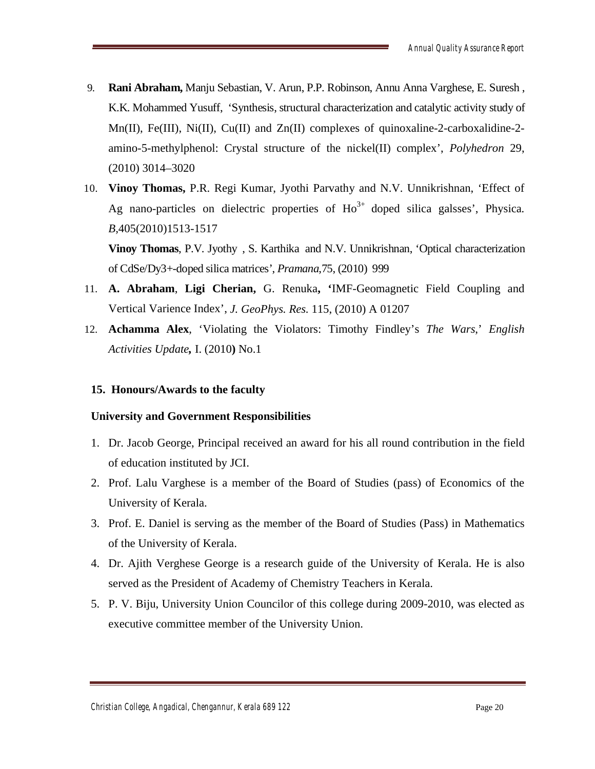- 9. **Rani Abraham,** Manju Sebastian, V. Arun, P.P. Robinson, Annu Anna Varghese, E. Suresh , K.K. Mohammed Yusuff, 'Synthesis, structural characterization and catalytic activity study of Mn(II), Fe(III), Ni(II), Cu(II) and Zn(II) complexes of quinoxaline-2-carboxalidine-2amino-5-methylphenol: Crystal structure of the nickel(II) complex', *Polyhedron* 29, (2010) 3014–3020
- 10. **Vinoy Thomas,** P.R. Regi Kumar, Jyothi Parvathy and N.V. Unnikrishnan, 'Effect of Ag nano-particles on dielectric properties of Ho<sup>3+</sup> doped silica galsses', Physica. *B,*405(2010)1513-1517

**Vinoy Thomas**, P.V. Jyothy , S. Karthika and N.V. Unnikrishnan, 'Optical characterization of CdSe/Dy3+-doped silica matrices', *Pramana*,75, (2010) 999

- 11. **A. Abraham**, **Ligi Cherian,** G. Renuka**, '**IMF-Geomagnetic Field Coupling and Vertical Varience Index', *J. GeoPhys. Res.* 115, (2010) A 01207
- 12. **Achamma Alex**, 'Violating the Violators: Timothy Findley's *The Wars*,' *English Activities Update,* I. (2010**)** No.1

# **15. Honours/Awards to the faculty**

# **University and Government Responsibilities**

- 1. Dr. Jacob George, Principal received an award for his all round contribution in the field of education instituted by JCI.
- 2. Prof. Lalu Varghese is a member of the Board of Studies (pass) of Economics of the University of Kerala.
- 3. Prof. E. Daniel is serving as the member of the Board of Studies (Pass) in Mathematics of the University of Kerala.
- 4. Dr. Ajith Verghese George is a research guide of the University of Kerala. He is also served as the President of Academy of Chemistry Teachers in Kerala.
- 5. P. V. Biju, University Union Councilor of this college during 2009-2010, was elected as executive committee member of the University Union.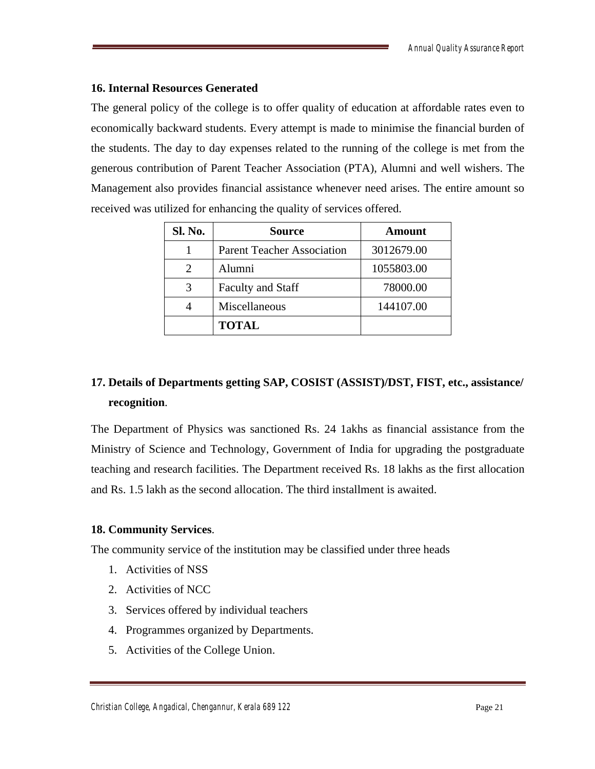# **16. Internal Resources Generated**

The general policy of the college is to offer quality of education at affordable rates even to economically backward students. Every attempt is made to minimise the financial burden of the students. The day to day expenses related to the running of the college is met from the generous contribution of Parent Teacher Association (PTA), Alumni and well wishers. The Management also provides financial assistance whenever need arises. The entire amount so received was utilized for enhancing the quality of services offered.

| Sl. No. | Source                            | Amount     |
|---------|-----------------------------------|------------|
|         | <b>Parent Teacher Association</b> | 3012679.00 |
|         | Alumni                            | 1055803.00 |
| 3       | <b>Faculty and Staff</b>          | 78000.00   |
|         | Miscellaneous                     | 144107.00  |
|         | <b>TOTAL</b>                      |            |

# **17. Details of Departments getting SAP, COSIST (ASSIST)/DST, FIST, etc., assistance/ recognition**.

The Department of Physics was sanctioned Rs. 24 1akhs as financial assistance from the Ministry of Science and Technology, Government of India for upgrading the postgraduate teaching and research facilities. The Department received Rs. 18 lakhs as the first allocation and Rs. 1.5 lakh as the second allocation. The third installment is awaited.

# **18. Community Services**.

The community service of the institution may be classified under three heads

- 1. Activities of NSS
- 2. Activities of NCC
- 3. Services offered by individual teachers
- 4. Programmes organized by Departments.
- 5. Activities of the College Union.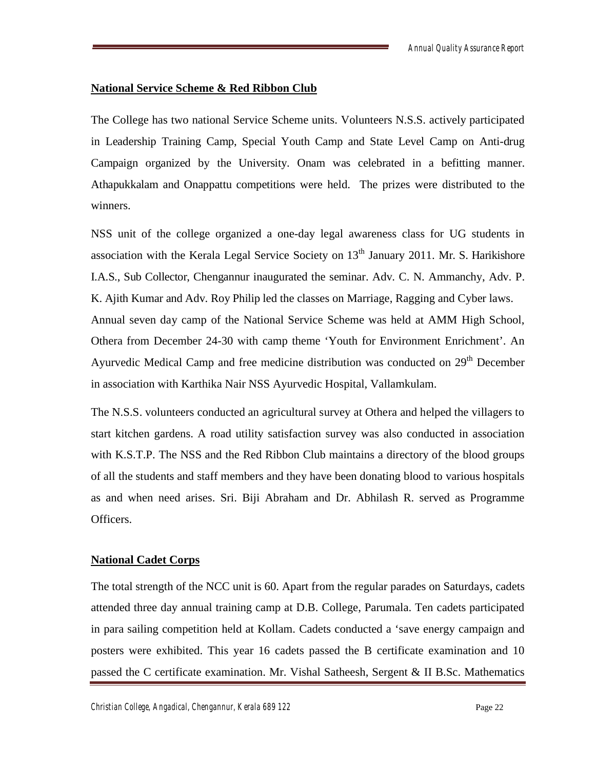#### **National Service Scheme & Red Ribbon Club**

The College has two national Service Scheme units. Volunteers N.S.S. actively participated in Leadership Training Camp, Special Youth Camp and State Level Camp on Anti-drug Campaign organized by the University. Onam was celebrated in a befitting manner. Athapukkalam and Onappattu competitions were held. The prizes were distributed to the winners.

NSS unit of the college organized a one-day legal awareness class for UG students in association with the Kerala Legal Service Society on  $13<sup>th</sup>$  January 2011. Mr. S. Harikishore I.A.S., Sub Collector, Chengannur inaugurated the seminar. Adv. C. N. Ammanchy, Adv. P. K. Ajith Kumar and Adv. Roy Philip led the classes on Marriage, Ragging and Cyber laws. Annual seven day camp of the National Service Scheme was held at AMM High School, Othera from December 24-30 with camp theme 'Youth for Environment Enrichment'. An Ayurvedic Medical Camp and free medicine distribution was conducted on 29<sup>th</sup> December in association with Karthika Nair NSS Ayurvedic Hospital, Vallamkulam.

The N.S.S. volunteers conducted an agricultural survey at Othera and helped the villagers to start kitchen gardens. A road utility satisfaction survey was also conducted in association with K.S.T.P. The NSS and the Red Ribbon Club maintains a directory of the blood groups of all the students and staff members and they have been donating blood to various hospitals as and when need arises. Sri. Biji Abraham and Dr. Abhilash R. served as Programme Officers.

# **National Cadet Corps**

The total strength of the NCC unit is 60. Apart from the regular parades on Saturdays, cadets attended three day annual training camp at D.B. College, Parumala. Ten cadets participated in para sailing competition held at Kollam. Cadets conducted a 'save energy campaign and posters were exhibited. This year 16 cadets passed the B certificate examination and 10 passed the C certificate examination. Mr. Vishal Satheesh, Sergent & II B.Sc. Mathematics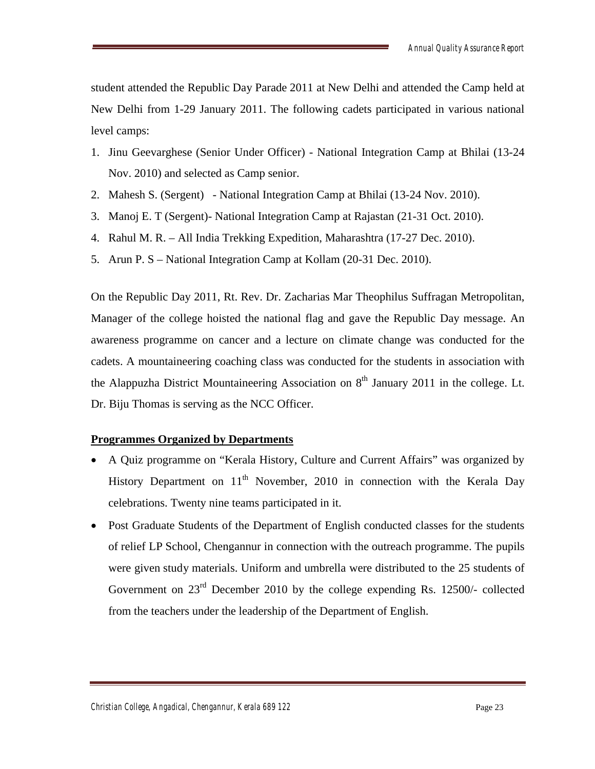student attended the Republic Day Parade 2011 at New Delhi and attended the Camp held at New Delhi from 1-29 January 2011. The following cadets participated in various national level camps:

- 1. Jinu Geevarghese (Senior Under Officer) National Integration Camp at Bhilai (13-24 Nov. 2010) and selected as Camp senior.
- 2. Mahesh S. (Sergent) National Integration Camp at Bhilai (13-24 Nov. 2010).
- 3. Manoj E. T (Sergent)- National Integration Camp at Rajastan (21-31 Oct. 2010).
- 4. Rahul M. R. All India Trekking Expedition, Maharashtra (17-27 Dec. 2010).
- 5. Arun P. S National Integration Camp at Kollam (20-31 Dec. 2010).

On the Republic Day 2011, Rt. Rev. Dr. Zacharias Mar Theophilus Suffragan Metropolitan, Manager of the college hoisted the national flag and gave the Republic Day message. An awareness programme on cancer and a lecture on climate change was conducted for the cadets. A mountaineering coaching class was conducted for the students in association with the Alappuzha District Mountaineering Association on  $8<sup>th</sup>$  January 2011 in the college. Lt. Dr. Biju Thomas is serving as the NCC Officer.

# **Programmes Organized by Departments**

- A Quiz programme on "Kerala History, Culture and Current Affairs" was organized by History Department on  $11<sup>th</sup>$  November, 2010 in connection with the Kerala Day celebrations. Twenty nine teams participated in it.
- Post Graduate Students of the Department of English conducted classes for the students of relief LP School, Chengannur in connection with the outreach programme. The pupils were given study materials. Uniform and umbrella were distributed to the 25 students of Government on  $23<sup>rd</sup>$  December 2010 by the college expending Rs. 12500/- collected from the teachers under the leadership of the Department of English.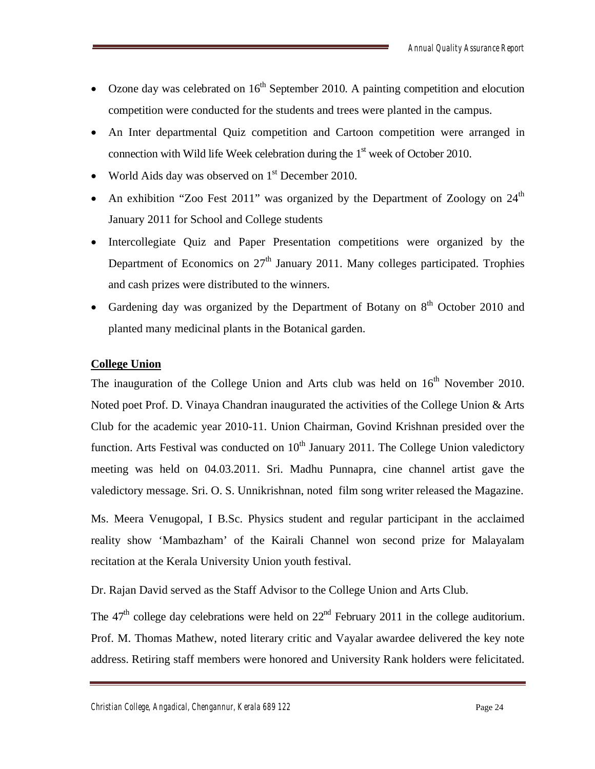- Ozone day was celebrated on  $16<sup>th</sup>$  September 2010. A painting competition and elocution competition were conducted for the students and trees were planted in the campus.
- An Inter departmental Quiz competition and Cartoon competition were arranged in connection with Wild life Week celebration during the  $1<sup>st</sup>$  week of October 2010.
- World Aids day was observed on  $1<sup>st</sup>$  December 2010.
- An exhibition "Zoo Fest 2011" was organized by the Department of Zoology on  $24<sup>th</sup>$ January 2011 for School and College students
- Intercollegiate Quiz and Paper Presentation competitions were organized by the Department of Economics on  $27<sup>th</sup>$  January 2011. Many colleges participated. Trophies and cash prizes were distributed to the winners.
- Gardening day was organized by the Department of Botany on  $8<sup>th</sup>$  October 2010 and planted many medicinal plants in the Botanical garden.

#### **College Union**

The inauguration of the College Union and Arts club was held on  $16<sup>th</sup>$  November 2010. Noted poet Prof. D. Vinaya Chandran inaugurated the activities of the College Union & Arts Club for the academic year 2010-11. Union Chairman, Govind Krishnan presided over the function. Arts Festival was conducted on  $10<sup>th</sup>$  January 2011. The College Union valedictory meeting was held on 04.03.2011. Sri. Madhu Punnapra, cine channel artist gave the valedictory message. Sri. O. S. Unnikrishnan, noted film song writer released the Magazine.

Ms. Meera Venugopal, I B.Sc. Physics student and regular participant in the acclaimed reality show 'Mambazham' of the Kairali Channel won second prize for Malayalam recitation at the Kerala University Union youth festival.

Dr. Rajan David served as the Staff Advisor to the College Union and Arts Club.

The  $47<sup>th</sup>$  college day celebrations were held on  $22<sup>nd</sup>$  February 2011 in the college auditorium. Prof. M. Thomas Mathew, noted literary critic and Vayalar awardee delivered the key note address. Retiring staff members were honored and University Rank holders were felicitated.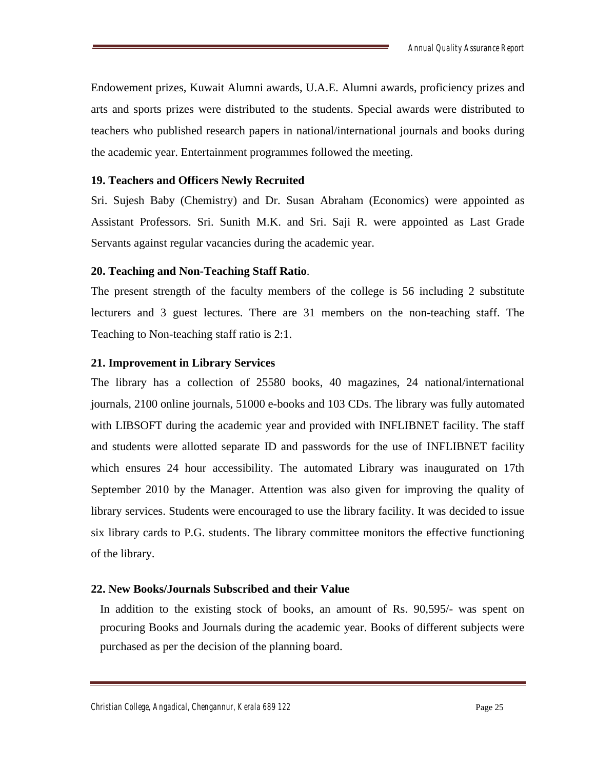Endowement prizes, Kuwait Alumni awards, U.A.E. Alumni awards, proficiency prizes and arts and sports prizes were distributed to the students. Special awards were distributed to teachers who published research papers in national/international journals and books during the academic year. Entertainment programmes followed the meeting.

#### **19. Teachers and Officers Newly Recruited**

Sri. Sujesh Baby (Chemistry) and Dr. Susan Abraham (Economics) were appointed as Assistant Professors. Sri. Sunith M.K. and Sri. Saji R. were appointed as Last Grade Servants against regular vacancies during the academic year.

#### **20. Teaching and Non-Teaching Staff Ratio**.

The present strength of the faculty members of the college is 56 including 2 substitute lecturers and 3 guest lectures. There are 31 members on the non-teaching staff. The Teaching to Non-teaching staff ratio is 2:1.

#### **21. Improvement in Library Services**

The library has a collection of 25580 books, 40 magazines, 24 national/international journals, 2100 online journals, 51000 e-books and 103 CDs. The library was fully automated with LIBSOFT during the academic year and provided with INFLIBNET facility. The staff and students were allotted separate ID and passwords for the use of INFLIBNET facility which ensures 24 hour accessibility. The automated Library was inaugurated on 17th September 2010 by the Manager. Attention was also given for improving the quality of library services. Students were encouraged to use the library facility. It was decided to issue six library cards to P.G. students. The library committee monitors the effective functioning of the library.

#### **22. New Books/Journals Subscribed and their Value**

In addition to the existing stock of books, an amount of Rs. 90,595/- was spent on procuring Books and Journals during the academic year. Books of different subjects were purchased as per the decision of the planning board.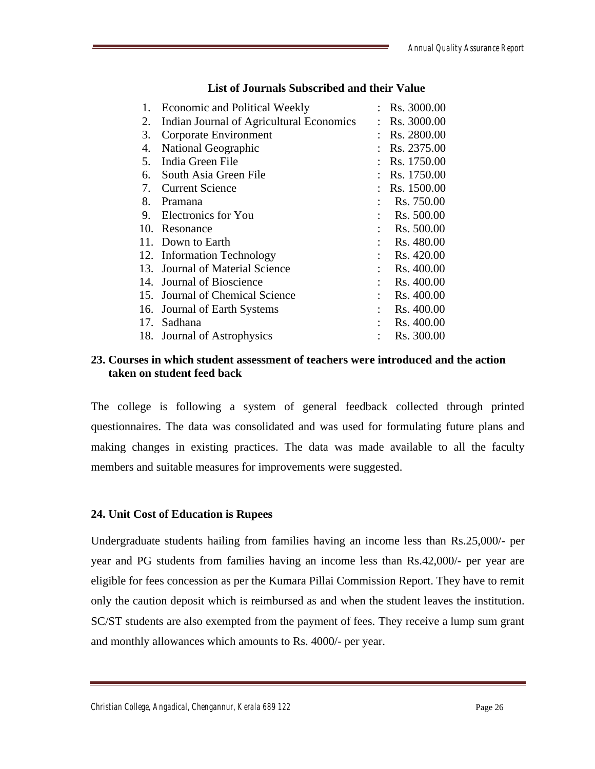| 1.  | <b>Economic and Political Weekly</b>     |   | Rs. 3000.00 |
|-----|------------------------------------------|---|-------------|
| 2.  | Indian Journal of Agricultural Economics | ÷ | Rs. 3000.00 |
| 3.  | Corporate Environment                    |   | Rs. 2800.00 |
| 4.  | National Geographic                      |   | Rs. 2375.00 |
| 5.  | India Green File                         |   | Rs. 1750.00 |
| 6.  | South Asia Green File                    |   | Rs. 1750.00 |
| 7.  | <b>Current Science</b>                   |   | Rs. 1500.00 |
| 8.  | Pramana                                  |   | Rs. 750.00  |
| 9.  | Electronics for You                      |   | Rs. 500.00  |
| 10. | Resonance                                |   | Rs. 500.00  |
| 11. | Down to Earth                            |   | Rs. 480.00  |
| 12. | <b>Information Technology</b>            |   | Rs. 420.00  |
| 13. | Journal of Material Science              |   | Rs. 400.00  |
| 14. | Journal of Bioscience                    |   | Rs. 400.00  |
| 15. | Journal of Chemical Science              |   | Rs. 400.00  |
| 16. | Journal of Earth Systems                 |   | Rs. 400.00  |
| 17. | Sadhana                                  |   | Rs. 400.00  |
|     | 18. Journal of Astrophysics              |   | Rs. 300.00  |

# **List of Journals Subscribed and their Value**

#### **23. Courses in which student assessment of teachers were introduced and the action taken on student feed back**

The college is following a system of general feedback collected through printed questionnaires. The data was consolidated and was used for formulating future plans and making changes in existing practices. The data was made available to all the faculty members and suitable measures for improvements were suggested.

# **24. Unit Cost of Education is Rupees**

Undergraduate students hailing from families having an income less than Rs.25,000/- per year and PG students from families having an income less than Rs.42,000/- per year are eligible for fees concession as per the Kumara Pillai Commission Report. They have to remit only the caution deposit which is reimbursed as and when the student leaves the institution. SC/ST students are also exempted from the payment of fees. They receive a lump sum grant and monthly allowances which amounts to Rs. 4000/- per year.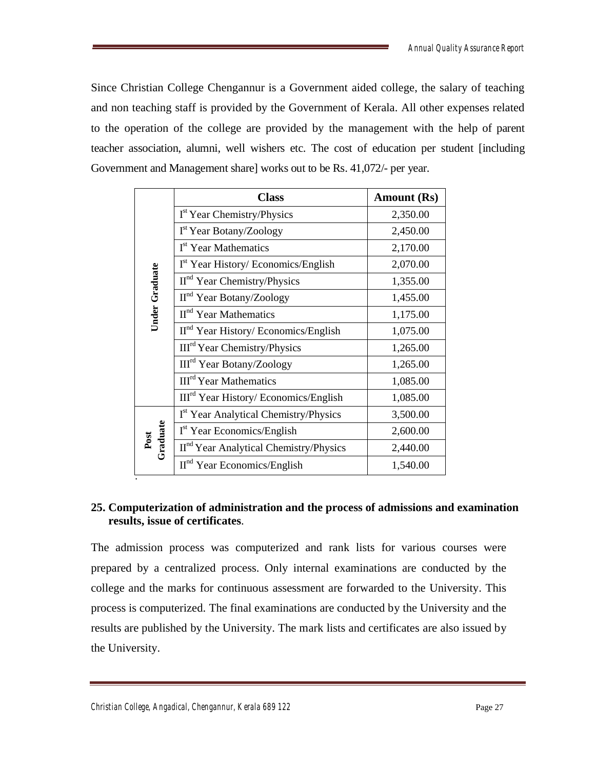Since Christian College Chengannur is a Government aided college, the salary of teaching and non teaching staff is provided by the Government of Kerala. All other expenses related to the operation of the college are provided by the management with the help of parent teacher association, alumni, well wishers etc. The cost of education per student [including Government and Management share] works out to be Rs. 41,072/- per year.

|                       | <b>Class</b>                                       | <b>Amount (Rs)</b> |
|-----------------------|----------------------------------------------------|--------------------|
|                       | I <sup>st</sup> Year Chemistry/Physics             | 2,350.00           |
|                       | I <sup>st</sup> Year Botany/Zoology                | 2,450.00           |
|                       | I <sup>st</sup> Year Mathematics                   | 2,170.00           |
|                       | I <sup>st</sup> Year History/ Economics/English    | 2,070.00           |
|                       | $IInd Year Chemistry/Physics$                      | 1,355.00           |
| <b>Under Graduate</b> | II <sup>nd</sup> Year Botany/Zoology               | 1,455.00           |
|                       | II <sup>nd</sup> Year Mathematics                  | 1,175.00           |
|                       | II <sup>nd</sup> Year History/ Economics/English   | 1,075.00           |
|                       | III <sup>rd</sup> Year Chemistry/Physics           | 1,265.00           |
|                       | III <sup>rd</sup> Year Botany/Zoology              | 1,265.00           |
|                       | <b>III<sup>rd</sup></b> Year Mathematics           | 1,085.00           |
|                       | III <sup>rd</sup> Year History/ Economics/English  | 1,085.00           |
|                       | I <sup>st</sup> Year Analytical Chemistry/Physics  | 3,500.00           |
| Post<br>Graduate      | I <sup>st</sup> Year Economics/English             | 2,600.00           |
|                       | II <sup>nd</sup> Year Analytical Chemistry/Physics | 2,440.00           |
|                       | $IInd Year Economics/English$                      | 1,540.00           |

# **25. Computerization of administration and the process of admissions and examination results, issue of certificates**.

The admission process was computerized and rank lists for various courses were prepared by a centralized process. Only internal examinations are conducted by the college and the marks for continuous assessment are forwarded to the University. This process is computerized. The final examinations are conducted by the University and the results are published by the University. The mark lists and certificates are also issued by the University.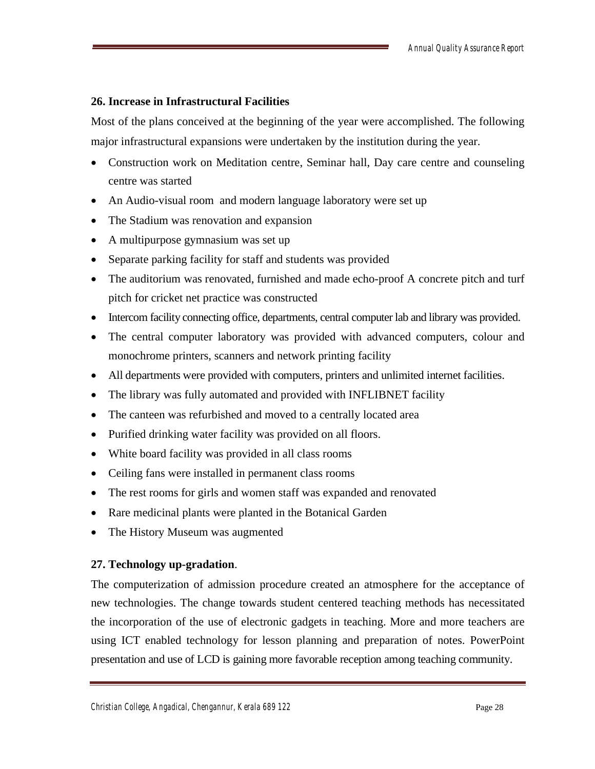# **26. Increase in Infrastructural Facilities**

Most of the plans conceived at the beginning of the year were accomplished. The following major infrastructural expansions were undertaken by the institution during the year.

- Construction work on Meditation centre, Seminar hall, Day care centre and counseling centre was started
- An Audio-visual room and modern language laboratory were set up
- The Stadium was renovation and expansion
- A multipurpose gymnasium was set up
- Separate parking facility for staff and students was provided
- The auditorium was renovated, furnished and made echo-proof A concrete pitch and turf pitch for cricket net practice was constructed
- Intercom facility connecting office, departments, central computer lab and library was provided.
- The central computer laboratory was provided with advanced computers, colour and monochrome printers, scanners and network printing facility
- All departments were provided with computers, printers and unlimited internet facilities.
- The library was fully automated and provided with INFLIBNET facility
- The canteen was refurbished and moved to a centrally located area
- Purified drinking water facility was provided on all floors.
- White board facility was provided in all class rooms
- Ceiling fans were installed in permanent class rooms
- The rest rooms for girls and women staff was expanded and renovated
- Rare medicinal plants were planted in the Botanical Garden
- The History Museum was augmented

# **27. Technology up-gradation**.

The computerization of admission procedure created an atmosphere for the acceptance of new technologies. The change towards student centered teaching methods has necessitated the incorporation of the use of electronic gadgets in teaching. More and more teachers are using ICT enabled technology for lesson planning and preparation of notes. PowerPoint presentation and use of LCD is gaining more favorable reception among teaching community.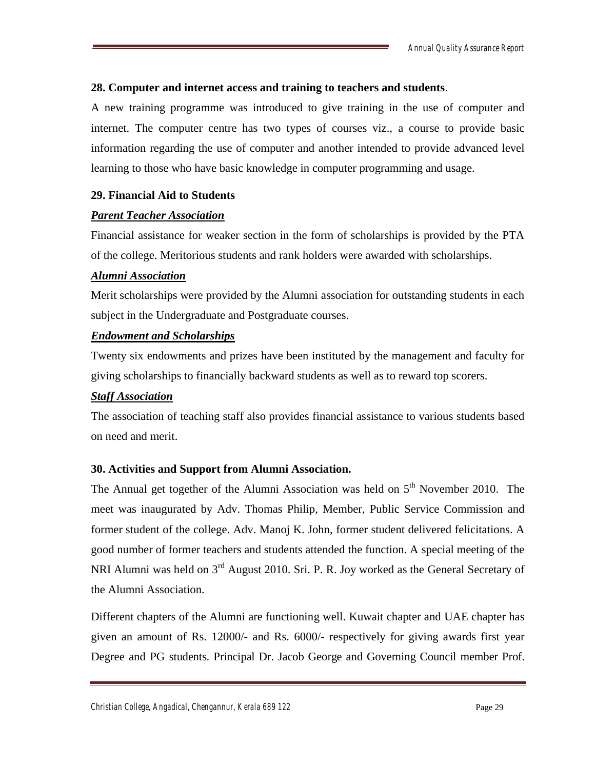# **28. Computer and internet access and training to teachers and students**.

A new training programme was introduced to give training in the use of computer and internet. The computer centre has two types of courses viz., a course to provide basic information regarding the use of computer and another intended to provide advanced level learning to those who have basic knowledge in computer programming and usage.

# **29. Financial Aid to Students**

# *Parent Teacher Association*

Financial assistance for weaker section in the form of scholarships is provided by the PTA of the college. Meritorious students and rank holders were awarded with scholarships.

# *Alumni Association*

Merit scholarships were provided by the Alumni association for outstanding students in each subject in the Undergraduate and Postgraduate courses.

# *Endowment and Scholarships*

Twenty six endowments and prizes have been instituted by the management and faculty for giving scholarships to financially backward students as well as to reward top scorers.

# *Staff Association*

The association of teaching staff also provides financial assistance to various students based on need and merit.

# **30. Activities and Support from Alumni Association.**

The Annual get together of the Alumni Association was held on  $5<sup>th</sup>$  November 2010. The meet was inaugurated by Adv. Thomas Philip, Member, Public Service Commission and former student of the college. Adv. Manoj K. John, former student delivered felicitations. A good number of former teachers and students attended the function. A special meeting of the NRI Alumni was held on 3<sup>rd</sup> August 2010. Sri. P. R. Joy worked as the General Secretary of the Alumni Association.

Different chapters of the Alumni are functioning well. Kuwait chapter and UAE chapter has given an amount of Rs. 12000/- and Rs. 6000/- respectively for giving awards first year Degree and PG students. Principal Dr. Jacob George and Governing Council member Prof.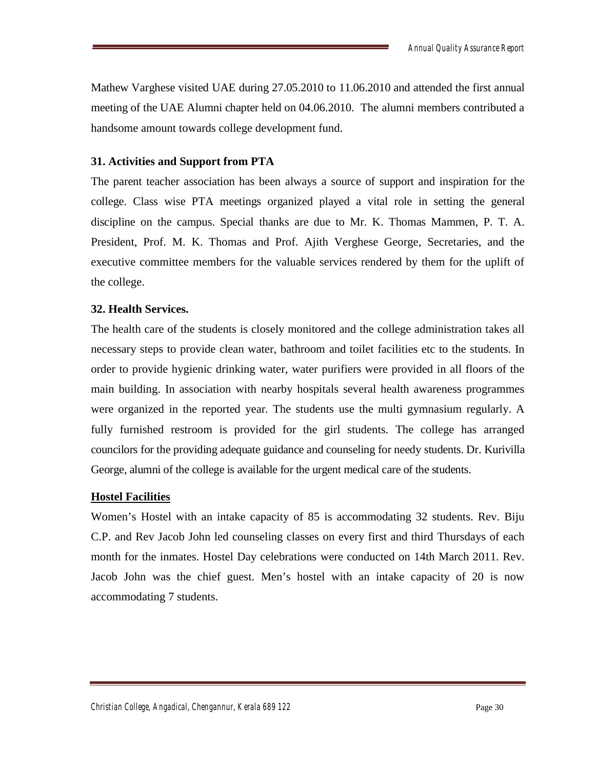Mathew Varghese visited UAE during 27.05.2010 to 11.06.2010 and attended the first annual meeting of the UAE Alumni chapter held on 04.06.2010. The alumni members contributed a handsome amount towards college development fund.

# **31. Activities and Support from PTA**

The parent teacher association has been always a source of support and inspiration for the college. Class wise PTA meetings organized played a vital role in setting the general discipline on the campus. Special thanks are due to Mr. K. Thomas Mammen, P. T. A. President, Prof. M. K. Thomas and Prof. Ajith Verghese George, Secretaries, and the executive committee members for the valuable services rendered by them for the uplift of the college.

# **32. Health Services.**

The health care of the students is closely monitored and the college administration takes all necessary steps to provide clean water, bathroom and toilet facilities etc to the students. In order to provide hygienic drinking water, water purifiers were provided in all floors of the main building. In association with nearby hospitals several health awareness programmes were organized in the reported year. The students use the multi gymnasium regularly. A fully furnished restroom is provided for the girl students. The college has arranged councilors for the providing adequate guidance and counseling for needy students. Dr. Kurivilla George, alumni of the college is available for the urgent medical care of the students.

# **Hostel Facilities**

Women's Hostel with an intake capacity of 85 is accommodating 32 students. Rev. Biju C.P. and Rev Jacob John led counseling classes on every first and third Thursdays of each month for the inmates. Hostel Day celebrations were conducted on 14th March 2011. Rev. Jacob John was the chief guest. Men's hostel with an intake capacity of 20 is now accommodating 7 students.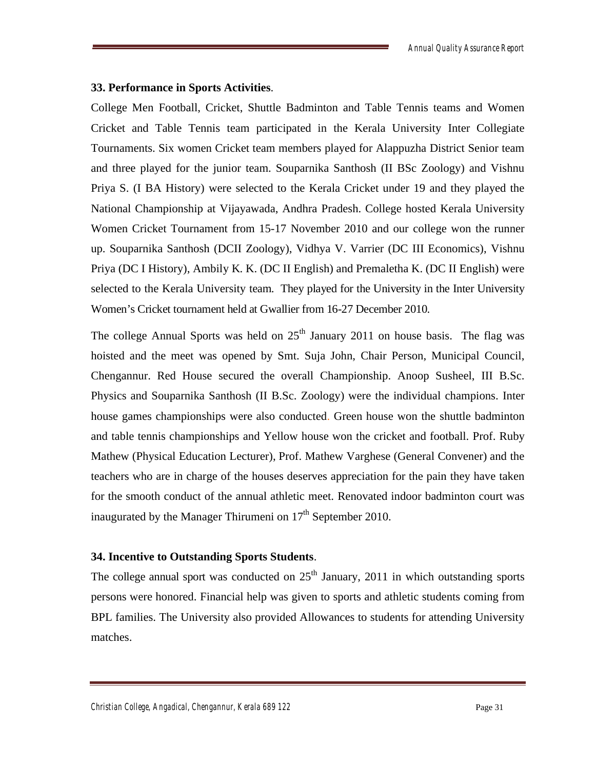#### **33. Performance in Sports Activities**.

College Men Football, Cricket, Shuttle Badminton and Table Tennis teams and Women Cricket and Table Tennis team participated in the Kerala University Inter Collegiate Tournaments. Six women Cricket team members played for Alappuzha District Senior team and three played for the junior team. Souparnika Santhosh (II BSc Zoology) and Vishnu Priya S. (I BA History) were selected to the Kerala Cricket under 19 and they played the National Championship at Vijayawada, Andhra Pradesh. College hosted Kerala University Women Cricket Tournament from 15-17 November 2010 and our college won the runner up. Souparnika Santhosh (DCII Zoology), Vidhya V. Varrier (DC III Economics), Vishnu Priya (DC I History), Ambily K. K. (DC II English) and Premaletha K. (DC II English) were selected to the Kerala University team. They played for the University in the Inter University Women's Cricket tournament held at Gwallier from 16-27 December 2010.

The college Annual Sports was held on  $25<sup>th</sup>$  January 2011 on house basis. The flag was hoisted and the meet was opened by Smt. Suja John, Chair Person, Municipal Council, Chengannur. Red House secured the overall Championship. Anoop Susheel, III B.Sc. Physics and Souparnika Santhosh (II B.Sc. Zoology) were the individual champions. Inter house games championships were also conducted. Green house won the shuttle badminton and table tennis championships and Yellow house won the cricket and football. Prof. Ruby Mathew (Physical Education Lecturer), Prof. Mathew Varghese (General Convener) and the teachers who are in charge of the houses deserves appreciation for the pain they have taken for the smooth conduct of the annual athletic meet. Renovated indoor badminton court was inaugurated by the Manager Thirumeni on  $17<sup>th</sup>$  September 2010.

#### **34. Incentive to Outstanding Sports Students**.

The college annual sport was conducted on  $25<sup>th</sup>$  January, 2011 in which outstanding sports persons were honored. Financial help was given to sports and athletic students coming from BPL families. The University also provided Allowances to students for attending University matches.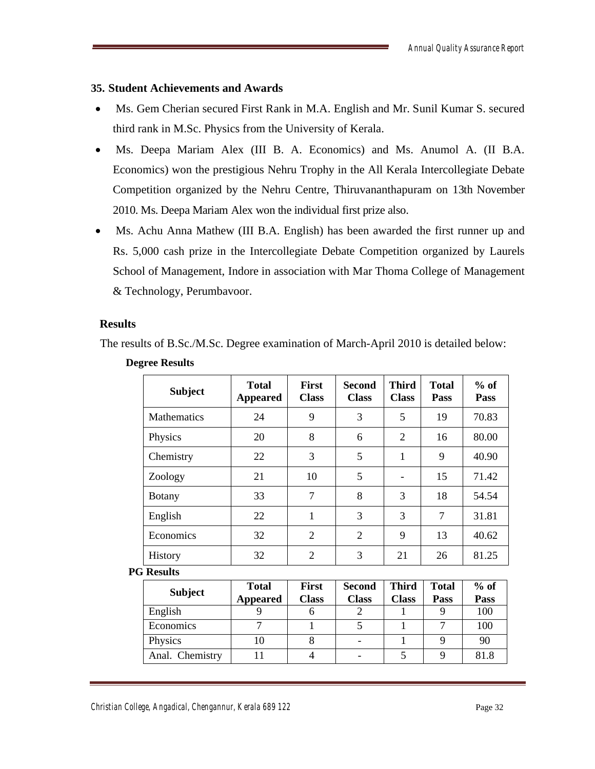# **35. Student Achievements and Awards**

- Ms. Gem Cherian secured First Rank in M.A. English and Mr. Sunil Kumar S. secured third rank in M.Sc. Physics from the University of Kerala.
- Ms. Deepa Mariam Alex (III B. A. Economics) and Ms. Anumol A. (II B.A. Economics) won the prestigious Nehru Trophy in the All Kerala Intercollegiate Debate Competition organized by the Nehru Centre, Thiruvananthapuram on 13th November 2010. Ms. Deepa Mariam Alex won the individual first prize also.
- Ms. Achu Anna Mathew (III B.A. English) has been awarded the first runner up and Rs. 5,000 cash prize in the Intercollegiate Debate Competition organized by Laurels School of Management, Indore in association with Mar Thoma College of Management & Technology, Perumbavoor.

#### **Results**

The results of B.Sc./M.Sc. Degree examination of March-April 2010 is detailed below:

| <b>Subject</b>     | <b>Total</b><br><b>Appeared</b> | <b>First</b><br><b>Class</b> | <b>Second</b><br><b>Class</b> | <b>Third</b><br><b>Class</b> | <b>Total</b><br><b>Pass</b> | $%$ of<br><b>Pass</b> |
|--------------------|---------------------------------|------------------------------|-------------------------------|------------------------------|-----------------------------|-----------------------|
| <b>Mathematics</b> | 24                              | 9                            | 3                             | 5                            | 19                          | 70.83                 |
| Physics            | 20                              | 8                            | 6                             | $\overline{2}$               | 16                          | 80.00                 |
| Chemistry          | 22                              | 3                            | 5                             | 1                            | 9                           | 40.90                 |
| Zoology            | 21                              | 10                           | 5                             |                              | 15                          | 71.42                 |
| <b>Botany</b>      | 33                              | 7                            | 8                             | 3                            | 18                          | 54.54                 |
| English            | 22                              | 1                            | 3                             | 3                            | 7                           | 31.81                 |
| Economics          | 32                              | $\overline{2}$               | $\overline{2}$                | 9                            | 13                          | 40.62                 |
| History            | 32                              | 2                            | 3                             | 21                           | 26                          | 81.25                 |

#### **Degree Results**

#### **PG Results**

|                 | <b>Total</b>    | First        | <b>Second</b> | <b>Third</b> | <b>Total</b> | $%$ of |
|-----------------|-----------------|--------------|---------------|--------------|--------------|--------|
| <b>Subject</b>  | <b>Appeared</b> | <b>Class</b> | <b>Class</b>  | <b>Class</b> | <b>Pass</b>  | Pass   |
| English         |                 |              |               |              |              | 100    |
| Economics       |                 |              |               |              |              | 100    |
| Physics         | 10              |              |               |              |              | 90     |
| Anal. Chemistry |                 |              |               |              |              | 81.8   |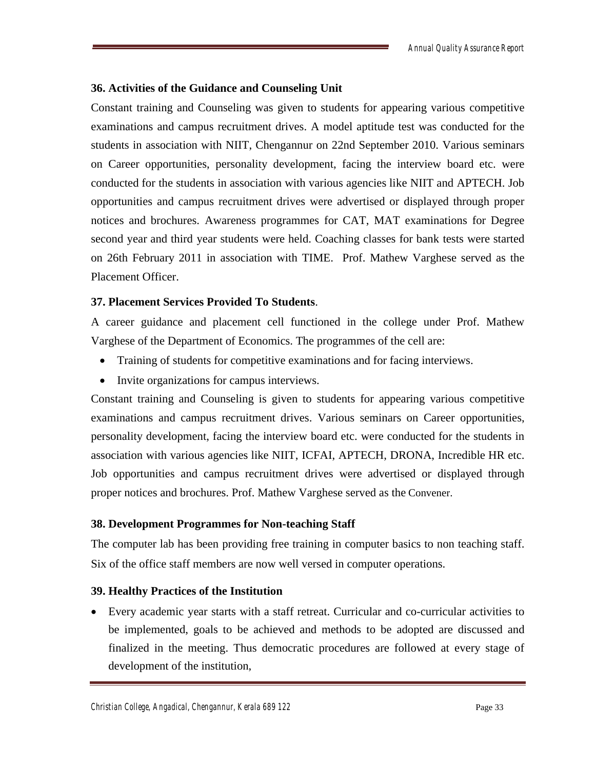# **36. Activities of the Guidance and Counseling Unit**

Constant training and Counseling was given to students for appearing various competitive examinations and campus recruitment drives. A model aptitude test was conducted for the students in association with NIIT, Chengannur on 22nd September 2010. Various seminars on Career opportunities, personality development, facing the interview board etc. were conducted for the students in association with various agencies like NIIT and APTECH. Job opportunities and campus recruitment drives were advertised or displayed through proper notices and brochures. Awareness programmes for CAT, MAT examinations for Degree second year and third year students were held. Coaching classes for bank tests were started on 26th February 2011 in association with TIME. Prof. Mathew Varghese served as the Placement Officer.

# **37. Placement Services Provided To Students**.

A career guidance and placement cell functioned in the college under Prof. Mathew Varghese of the Department of Economics. The programmes of the cell are:

- Training of students for competitive examinations and for facing interviews.
- Invite organizations for campus interviews.

Constant training and Counseling is given to students for appearing various competitive examinations and campus recruitment drives. Various seminars on Career opportunities, personality development, facing the interview board etc. were conducted for the students in association with various agencies like NIIT, ICFAI, APTECH, DRONA, Incredible HR etc. Job opportunities and campus recruitment drives were advertised or displayed through proper notices and brochures. Prof. Mathew Varghese served as the Convener.

# **38. Development Programmes for Non-teaching Staff**

The computer lab has been providing free training in computer basics to non teaching staff. Six of the office staff members are now well versed in computer operations.

# **39. Healthy Practices of the Institution**

 Every academic year starts with a staff retreat. Curricular and co-curricular activities to be implemented, goals to be achieved and methods to be adopted are discussed and finalized in the meeting. Thus democratic procedures are followed at every stage of development of the institution,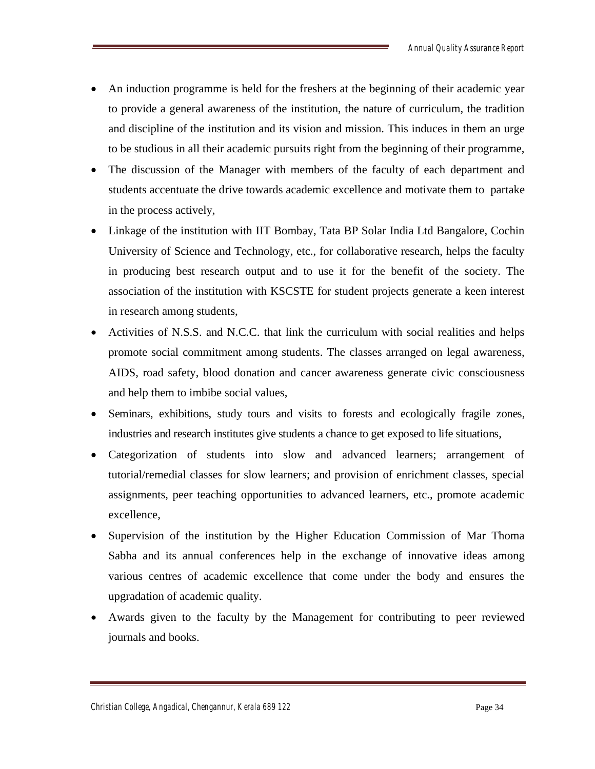- An induction programme is held for the freshers at the beginning of their academic year to provide a general awareness of the institution, the nature of curriculum, the tradition and discipline of the institution and its vision and mission. This induces in them an urge to be studious in all their academic pursuits right from the beginning of their programme,
- The discussion of the Manager with members of the faculty of each department and students accentuate the drive towards academic excellence and motivate them to partake in the process actively,
- Linkage of the institution with IIT Bombay, Tata BP Solar India Ltd Bangalore, Cochin University of Science and Technology, etc., for collaborative research, helps the faculty in producing best research output and to use it for the benefit of the society. The association of the institution with KSCSTE for student projects generate a keen interest in research among students,
- Activities of N.S.S. and N.C.C. that link the curriculum with social realities and helps promote social commitment among students. The classes arranged on legal awareness, AIDS, road safety, blood donation and cancer awareness generate civic consciousness and help them to imbibe social values,
- Seminars, exhibitions, study tours and visits to forests and ecologically fragile zones, industries and research institutes give students a chance to get exposed to life situations,
- Categorization of students into slow and advanced learners; arrangement of tutorial/remedial classes for slow learners; and provision of enrichment classes, special assignments, peer teaching opportunities to advanced learners, etc., promote academic excellence,
- Supervision of the institution by the Higher Education Commission of Mar Thoma Sabha and its annual conferences help in the exchange of innovative ideas among various centres of academic excellence that come under the body and ensures the upgradation of academic quality.
- Awards given to the faculty by the Management for contributing to peer reviewed journals and books.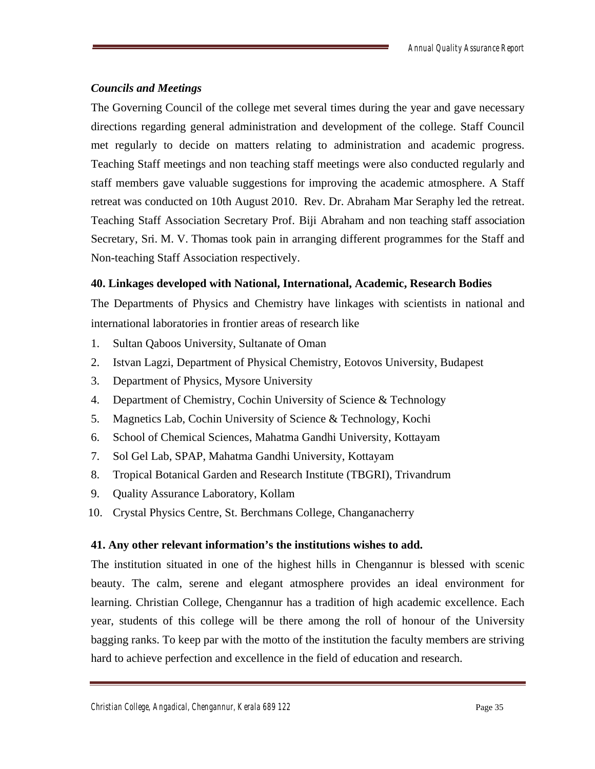# *Councils and Meetings*

The Governing Council of the college met several times during the year and gave necessary directions regarding general administration and development of the college. Staff Council met regularly to decide on matters relating to administration and academic progress. Teaching Staff meetings and non teaching staff meetings were also conducted regularly and staff members gave valuable suggestions for improving the academic atmosphere. A Staff retreat was conducted on 10th August 2010. Rev. Dr. Abraham Mar Seraphy led the retreat. Teaching Staff Association Secretary Prof. Biji Abraham and non teaching staff association Secretary, Sri. M. V. Thomas took pain in arranging different programmes for the Staff and Non-teaching Staff Association respectively.

# **40. Linkages developed with National, International, Academic, Research Bodies**

The Departments of Physics and Chemistry have linkages with scientists in national and international laboratories in frontier areas of research like

- 1. Sultan Qaboos University, Sultanate of Oman
- 2. Istvan Lagzi, Department of Physical Chemistry, Eotovos University, Budapest
- 3. Department of Physics, Mysore University
- 4. Department of Chemistry, Cochin University of Science & Technology
- 5. Magnetics Lab, Cochin University of Science & Technology, Kochi
- 6. School of Chemical Sciences, Mahatma Gandhi University, Kottayam
- 7. Sol Gel Lab, SPAP, Mahatma Gandhi University, Kottayam
- 8. Tropical Botanical Garden and Research Institute (TBGRI), Trivandrum
- 9. Quality Assurance Laboratory, Kollam
- 10. Crystal Physics Centre, St. Berchmans College, Changanacherry

# **41. Any other relevant information's the institutions wishes to add.**

The institution situated in one of the highest hills in Chengannur is blessed with scenic beauty. The calm, serene and elegant atmosphere provides an ideal environment for learning. Christian College, Chengannur has a tradition of high academic excellence. Each year, students of this college will be there among the roll of honour of the University bagging ranks. To keep par with the motto of the institution the faculty members are striving hard to achieve perfection and excellence in the field of education and research.